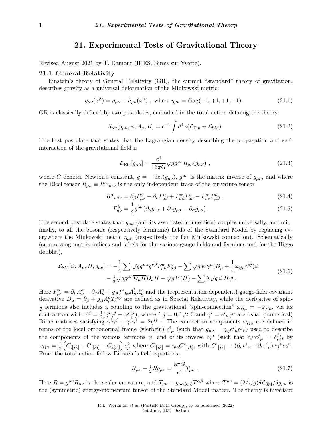# **21. Experimental Tests of Gravitational Theory**

Revised August 2021 by T. Damour (IHES, Bures-sur-Yvette).

# **21.1 General Relativity**

Einstein's theory of General Relativity (GR), the current "standard" theory of gravitation, describes gravity as a universal deformation of the Minkowski metric:

$$
g_{\mu\nu}(x^{\lambda}) = \eta_{\mu\nu} + h_{\mu\nu}(x^{\lambda}) \text{ , where } \eta_{\mu\nu} = \text{diag}(-1, +1, +1, +1) \text{ .}
$$
 (21.1)

GR is classically defined by two postulates, embodied in the total action defining the theory:

$$
S_{\text{tot}}[g_{\mu\nu}, \psi, A_{\mu}, H] = c^{-1} \int d^4x (\mathcal{L}_{\text{Ein}} + \mathcal{L}_{\text{SM}}).
$$
 (21.2)

The first postulate that states that the Lagrangian density describing the propagation and selfinteraction of the gravitational field is

$$
\mathcal{L}_{\text{Ein}}[g_{\alpha\beta}] = \frac{c^4}{16\pi G} \sqrt{g} g^{\mu\nu} R_{\mu\nu}(g_{\alpha\beta}) \tag{21.3}
$$

where *G* denotes Newton's constant,  $g = -\det(g_{\mu\nu})$ ,  $g^{\mu\nu}$  is the matrix inverse of  $g_{\mu\nu}$ , and where the Ricci tensor  $R_{\mu\nu} \equiv R^{\alpha}{}_{\mu\alpha\nu}$  is the only independent trace of the curvature tensor

$$
R^{\alpha}{}_{\mu\beta\nu} = \partial_{\beta} \Gamma^{\alpha}_{\mu\nu} - \partial_{\nu} \Gamma^{\alpha}_{\mu\beta} + \Gamma^{\alpha}_{\sigma\beta} \Gamma^{\sigma}_{\mu\nu} - \Gamma^{\alpha}_{\sigma\nu} \Gamma^{\sigma}_{\mu\beta} \,, \tag{21.4}
$$

$$
\Gamma^{\lambda}_{\mu\nu} = \frac{1}{2} g^{\lambda\sigma} (\partial_{\mu} g_{\nu\sigma} + \partial_{\nu} g_{\mu\sigma} - \partial_{\sigma} g_{\mu\nu}). \tag{21.5}
$$

The second postulate states that  $g_{\mu\nu}$  (and its associated connection) couples universally, and minimally, to all the bosonic (respectively fermionic) fields of the Standard Model by replacing everywhere the Minkowski metric *ηµν* (respectively the flat Minkowski connection). Schematically (suppressing matrix indices and labels for the various gauge fields and fermions and for the Higgs doublet),

$$
\mathcal{L}_{\rm SM}[\psi, A_{\mu}, H, g_{\mu\nu}] = -\frac{1}{4} \sum \sqrt{g} g^{\mu\alpha} g^{\nu\beta} F^a_{\mu\nu} F^a_{\alpha\beta} - \sum \sqrt{g} \,\overline{\psi} \,\gamma^{\mu} (D_{\mu} + \frac{1}{4} \omega_{ij\mu} \gamma^{ij}) \psi - \frac{1}{2} \sqrt{g} g^{\mu\nu} \overline{D_{\mu} H} D_{\nu} H - \sqrt{g} \, V(H) - \sum \lambda \sqrt{g} \,\overline{\psi} \, H \psi .
$$
\n(21.6)

Here  $F_{\mu\nu}^a = \partial_\mu A_\nu^a - \partial_\nu A_\mu^a + g_A f^a{}_{bc} A_\mu^b A_\nu^c$  and the (representation-dependent) gauge-field covariant derivative  $D_{\mu} = \partial_{\mu} + g_A A_{\mu}^a T_a^{\text{rep}}$  are defined as in Special Relativity, while the derivative of spin- $\frac{1}{2}$  fermions also includes a coupling to the gravitational "spin-connection"  $\omega_{ij\mu} = -\omega_{ji\mu}$ , via its  $\frac{1}{2}$  referred as  $\frac{1}{2}$  contraction with  $\gamma^{ij} = \frac{1}{2}$  $\frac{1}{2}(\gamma^{i}\gamma^{j} - \gamma^{j}\gamma^{i})$ , where  $i, j = 0, 1, 2, 3$  and  $\gamma^{i} = e^{i}{}_{\mu}\gamma^{\mu}$  are usual (numerical) Dirac matrices satisfying  $\gamma^i \gamma^j + \gamma^j \gamma^i = 2\eta^{ij}$ . The connection components  $\omega_{ij\mu}$  are defined in terms of the local orthonormal frame (vierbein)  $e^{i}_{\mu}$  (such that  $g_{\mu\nu} = \eta_{ij}e^{i}_{\mu}e^{j}_{\nu}$ ) used to describe the components of the various fermions  $\psi$ , and of its inverse  $e_i{}^{\mu}$  (such that  $e_i{}^{\mu}e_j{}^{\ j}{}_{\mu} = \delta_i^j$  $\binom{j}{i}$ , by  $\omega_{ij\mu}=\frac{1}{2}$  $\frac{1}{2}\left(C_{i[jk]} + C_{j[ki]} - C_{k[ij]}\right)e^k_\mu$  where  $C_{i[jk]} = \eta_{is}C^s{}_{[jk]},$  with  $C^i{}_{[jk]} \equiv (\partial_\mu e^i{}_\nu - \partial_\nu e^i{}_\mu)e_j{}^\mu e_k{}^\nu$ . From the total action follow Einstein's field equations,

$$
R_{\mu\nu} - \frac{1}{2} R g_{\mu\nu} = \frac{8\pi G}{c^4} T_{\mu\nu} \ . \tag{21.7}
$$

Here  $R = g^{\mu\nu} R_{\mu\nu}$  is the scalar curvature, and  $T_{\mu\nu} \equiv g_{\mu\alpha} g_{\nu\beta} T^{\alpha\beta}$  where  $T^{\mu\nu} = (2/\sqrt{g}) \delta \mathcal{L}_{\text{SM}}/\delta g_{\mu\nu}$  is the (symmetric) energy-momentum tensor of the Standard Model matter. The theory is invariant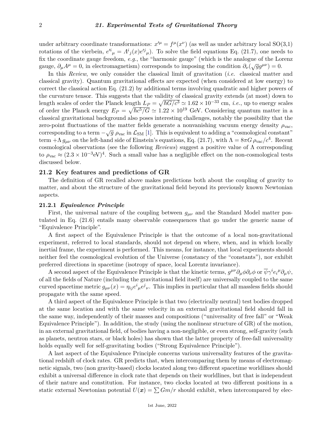under arbitrary coordinate transformations:  $x'^{\mu} = f^{\mu}(x^{\nu})$  (as well as under arbitrary local SO(3,1) rotations of the vierbein,  $e^{i\hat{i}}_{\mu} = A^i{}_j(x)e^{i\hat{j}}_{\mu}$ . To solve the field equations Eq. (21.7), one needs to fix the coordinate gauge freedom, *e.g.*, the "harmonic gauge" (which is the analogue of the Lorenz gauge,  $\partial_{\mu}A^{\mu} = 0$ , in electromagnetism) corresponds to imposing the condition  $\partial_{\nu}(\sqrt{g}g^{\mu\nu}) = 0$ .

In this *Review*, we only consider the classical limit of gravitation (*i.e.* classical matter and classical gravity). Quantum gravitational effects are expected (when considered at low energy) to correct the classical action Eq. (21.2) by additional terms involving quadratic and higher powers of the curvature tensor. This suggests that the validity of classical gravity extends (at most) down to length scales of order the Planck length  $L_P = \sqrt{\hbar G/c^3} \simeq 1.62 \times 10^{-33}$  cm, *i.e.*, up to energy scales of order the Planck energy  $E_P = \sqrt{\hbar c^5/G} \simeq 1.22 \times 10^{19}$  GeV. Considering quantum matter in a classical gravitational background also poses interesting challenges, notably the possibility that the zero-point fluctuations of the matter fields generate a nonvanishing vacuum energy density  $\rho_{\text{vac}}$ , corresponding to a term  $-\sqrt{g} \rho_{\text{vac}}$  in  $\mathcal{L}_{\text{SM}}$  [\[1\]](#page-21-0). This is equivalent to adding a "cosmological constant" term  $+\Lambda g_{\mu\nu}$  on the left-hand side of Einstein's equations, Eq. (21.7), with  $\Lambda = 8\pi G \rho_{\rm vac}/c^4$ . Recent cosmological observations (see the following *Reviews*) suggest a positive value of Λ corresponding to  $\rho_{\text{vac}} \approx (2.3 \times 10^{-3} \text{eV})^4$ . Such a small value has a negligible effect on the non-cosmological tests discussed below.

## **21.2 Key features and predictions of GR**

The definition of GR recalled above makes predictions both about the coupling of gravity to matter, and about the structure of the gravitational field beyond its previously known Newtonian aspects.

## **21.2.1** *Equivalence Principle*

First, the universal nature of the coupling between *gµν* and the Standard Model matter postulated in Eq. (21.6) entails many observable consequences that go under the generic name of "Equivalence Principle".

A first aspect of the Equivalence Principle is that the outcome of a local non-gravitational experiment, referred to local standards, should not depend on where, when, and in which locally inertial frame, the experiment is performed. This means, for instance, that local experiments should neither feel the cosmological evolution of the Universe (constancy of the "constants"), nor exhibit preferred directions in spacetime (isotropy of space, local Lorentz invariance).

A second aspect of the Equivalence Principle is that the kinetic terms,  $g^{\mu\nu}\partial_{\mu}\phi\partial_{\nu}\phi$  or  $\overline{\psi}\gamma^{i}e_{i}{}^{\mu}\partial_{\mu}\psi$ , of all the fields of Nature (including the gravitational field itself) are universally coupled to the same curved spacetime metric  $g_{\mu\nu}(x) = \eta_{ij}e^i{}_{\mu}e^j{}_{\nu}$ . This implies in particular that all massless fields should propagate with the same speed.

A third aspect of the Equivalence Principle is that two (electrically neutral) test bodies dropped at the same location and with the same velocity in an external gravitational field should fall in the same way, independently of their masses and compositions ("universality of free fall" or "Weak Equivalence Principle"). In addition, the study (using the nonlinear structure of GR) of the motion, in an external gravitational field, of bodies having a non-negligible, or even strong, self-gravity (such as planets, neutron stars, or black holes) has shown that the latter property of free-fall universality holds equally well for self-gravitating bodies ("Strong Equivalence Principle").

A last aspect of the Equivalence Principle concerns various universality features of the gravitational redshift of clock rates. GR predicts that, when intercomparing them by means of electromagnetic signals, two (non gravity-based) clocks located along two different spacetime worldlines should exhibit a universal difference in clock rate that depends on their worldlines, but that is independent of their nature and constitution. For instance, two clocks located at two different positions in a static external Newtonian potential  $U(x) = \sum Gm/r$  should exhibit, when intercompared by elec-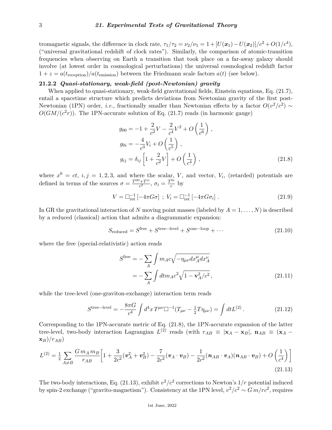tromagnetic signals, the difference in clock rate,  $\tau_1/\tau_2 = \nu_2/\nu_1 = 1 + [U(\pmb{x}_1) - U(\pmb{x}_2)]/c^2 + O(1/c^4)$ , ("universal gravitational redshift of clock rates"). Similarly, the comparison of atomic-transition frequencies when observing on Earth a transition that took place on a far-away galaxy should involve (at lowest order in cosmological perturbations) the universal cosmological redshift factor  $1 + z = a(t_{\text{reception}})/a(t_{\text{emission}})$  between the Friedmann scale factors  $a(t)$  (see below).

# **21.2.2** *Quasi-stationary, weak-field (post-Newtonian) gravity*

When applied to quasi-stationary, weak-field gravitational fields, Einstein equations, Eq.  $(21.7)$ , entail a spacetime structure which predicts deviations from Newtonian gravity of the first post-Newtonian (1PN) order, *i.e.*, fractionally smaller than Newtonian effects by a factor  $O(v^2/c^2) \sim$  $O(GM/(c^2r))$ . The 1PN-accurate solution of Eq. (21.7) reads (in harmonic gauge)

$$
g_{00} = -1 + \frac{2}{c^2}V - \frac{2}{c^4}V^2 + O\left(\frac{1}{c^6}\right),
$$
  
\n
$$
g_{0i} = -\frac{4}{c^3}V_i + O\left(\frac{1}{c^5}\right),
$$
  
\n
$$
g_{ij} = \delta_{ij}\left[1 + \frac{2}{c^2}V\right] + O\left(\frac{1}{c^4}\right),
$$
\n(21.8)

where  $x^0 = ct$ ,  $i, j = 1, 2, 3$ , and where the scalar, *V*, and vector, *V<sub>i</sub>*, (retarded) potentials are defined in terms of the sources  $\sigma = \frac{T^{00} + T^{ii}}{c^2}$  $\frac{C^{0}+T^{ii}}{c^{2}}, \sigma_{i} = \frac{T^{0i}}{c}$  $\frac{a}{c}$  by

$$
V = \Box_{\text{ret}}^{-1} \left[ -4\pi G \sigma \right] \; ; \; V_i = \Box_{\text{ret}}^{-1} \left[ -4\pi G \sigma_i \right] \,. \tag{21.9}
$$

In GR the gravitational interaction of *N* moving point masses (labeled by  $A = 1, \ldots, N$ ) is described by a reduced (classical) action that admits a diagrammatic expansion:

$$
S_{reduced} = Sfree + Stree-level + Sone-loop + \dots
$$
 (21.10)

where the free (special-relativistic) action reads

$$
S^{\text{free}} = -\sum_{A} \int m_A c \sqrt{-\eta_{\mu\nu} dx_A^{\mu} dx_A^{\nu}}
$$

$$
= -\sum_{A} \int dt m_A c^2 \sqrt{1 - \mathbf{v}_A^2/c^2}, \qquad (21.11)
$$

while the tree-level (one-graviton-exchange) interaction term reads

$$
S^{\text{tree-level}} = -\frac{8\pi G}{c^4} \int d^4x \, T^{\mu\nu} \Box^{-1} (T_{\mu\nu} - \frac{1}{2} T \eta_{\mu\nu}) = \int dt L^{(2)} \,. \tag{21.12}
$$

Corresponding to the 1PN-accurate metric of Eq. (21.8), the 1PN-accurate expansion of the latter tree-level, two-body interaction Lagrangian  $L^{(2)}$  reads (with  $r_{AB} \equiv |\mathbf{x}_A - \mathbf{x}_B|$ ,  $\mathbf{n}_{AB} \equiv (\mathbf{x}_A - \mathbf{x}_B)$ **x***B*)*/rAB*)

$$
L^{(2)} = \frac{1}{2} \sum_{A \neq B} \frac{G m_A m_B}{r_{AB}} \bigg[ 1 + \frac{3}{2c^2} (\mathbf{v}_A^2 + \mathbf{v}_B^2) - \frac{7}{2c^2} (\mathbf{v}_A \cdot \mathbf{v}_B) - \frac{1}{2c^2} (\mathbf{n}_{AB} \cdot \mathbf{v}_A) (\mathbf{n}_{AB} \cdot \mathbf{v}_B) + O\left(\frac{1}{c^4}\right) \bigg]
$$
(21.13)

The two-body interactions, Eq.  $(21.13)$ , exhibit  $v^2/c^2$  corrections to Newton's  $1/r$  potential induced by spin-2 exchange ("gravito-magnetism"). Consistency at the 1PN level,  $v^2/c^2 \sim G m/rc^2$ , requires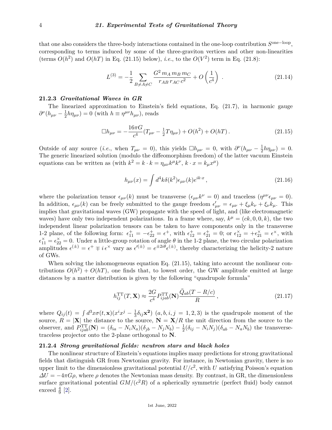that one also considers the three-body interactions contained in the one-loop contribution  $S^{\text{one-loop}}$ , corresponding to terms induced by some of the three-graviton vertices and other non-linearities (terms  $O(h^2)$  and  $O(hT)$  in Eq. (21.15) below), *i.e.*, to the  $O(V^2)$  term in Eq. (21.8):

$$
L^{(3)} = -\frac{1}{2} \sum_{B \neq A \neq C} \frac{G^2 m_A m_B m_C}{r_{AB} r_{AC} c^2} + O\left(\frac{1}{c^4}\right) \tag{21.14}
$$

# **21.2.3** *Gravitational Waves in GR*

The linearized approximation to Einstein's field equations, Eq. (21.7), in harmonic gauge  $\partial^\nu (h_{\mu\nu} - \frac{1}{2}$  $\frac{1}{2}h\eta_{\mu\nu}$ ) = 0 (with  $h \equiv \eta^{\mu\nu}h_{\mu\nu}$ ), reads

$$
\Box h_{\mu\nu} = -\frac{16\pi G}{c^4} (T_{\mu\nu} - \frac{1}{2} T \eta_{\mu\nu}) + O(h^2) + O(hT). \qquad (21.15)
$$

Outside of any source (*i.e.*, when  $T_{\mu\nu} = 0$ ), this yields  $\Box h_{\mu\nu} = 0$ , with  $\partial^{\nu}(h_{\mu\nu} - \frac{1}{2})$  $\frac{1}{2}h\eta_{\mu\nu}) = 0.$ The generic linearized solution (modulo the diffeomorphism freedom) of the latter vacuum Einstein equations can be written as (with  $k^2 = k \cdot k = \eta_{\mu\nu} k^{\mu} k^{\nu}, k \cdot x = k_{\mu} x^{\mu}$ )

$$
h_{\mu\nu}(x) = \int d^4k \delta(k^2) \epsilon_{\mu\nu}(k) e^{ik \cdot x}, \qquad (21.16)
$$

where the polarization tensor  $\epsilon_{\mu\nu}(k)$  must be transverse  $(\epsilon_{\mu\nu}k^{\nu} = 0)$  and traceless  $(\eta^{\mu\nu}\epsilon_{\mu\nu} = 0)$ . In addition,  $\epsilon_{\mu\nu}(k)$  can be freely submitted to the gauge freedom  $\epsilon'_{\mu\nu} = \epsilon_{\mu\nu} + \xi_{\mu}k_{\nu} + \xi_{\nu}k_{\mu}$ . This implies that gravitational waves (GW) propagate with the speed of light, and (like electromagnetic waves) have only two independent polarizations. In a frame where, say,  $k^{\mu} = (ck, 0, 0, k)$ , the two independent linear polarization tensors can be taken to have components only in the transverse 1-2 plane, of the following form:  $\epsilon_{11}^+ = -\epsilon_{22}^+ = \epsilon^+$ , with  $\epsilon_{12}^+ = \epsilon_{21}^+ = 0$ ; or  $\epsilon_{12}^\times = +\epsilon_{21}^\times = \epsilon^\times$ , with  $\epsilon_{11}^{\times} = \epsilon_{22}^{\times} = 0$ . Under a little-group rotation of angle  $\theta$  in the 1-2 plane, the two circular polarization amplitudes  $\epsilon^{(\pm)} = \epsilon^+ \mp i \epsilon^{\times}$  vary as  $\epsilon^{(\pm)} = e^{\pm 2i\theta} \epsilon^{(\pm)}$ , thereby characterizing the helicity-2 nature of GWs.

When solving the inhomogeneous equation Eq.  $(21.15)$ , taking into account the nonlinear contributions  $O(h^2) + O(hT)$ , one finds that, to lowest order, the GW amplitude emitted at large distances by a matter distribution is given by the following "quadrupole formula"

$$
h_{ij}^{\rm TT}(T, \mathbf{X}) \approx \frac{2G}{c^4} P_{ijab}^{\rm TT}(\mathbf{N}) \frac{\ddot{Q}_{ab}(T - R/c)}{R}, \qquad (21.17)
$$

where  $Q_{ij}(t) = \int d^3x \sigma(t, \mathbf{x})(x^i x^j - \frac{1}{3})$  $\frac{1}{3}\delta_{ij}\mathbf{x}^2$ )  $(a,b,i,j=1,2,3)$  is the quadrupole moment of the source,  $R = |\mathbf{X}|$  the distance to the source,  $\mathbf{N} = \mathbf{X}/R$  the unit direction from the source to the observer, and  $P_{ijab}^{\text{TT}}(\mathbf{N}) = (\delta_{ia} - N_i N_a)(\delta_{jb} - N_j N_b) - \frac{1}{2}$  $\frac{1}{2}(\delta_{ij} - N_iN_j)(\delta_{ab} - N_aN_b)$  the transversetraceless projector onto the 2-plane orthogonal to **N**.

#### **21.2.4** *Strong gravitational fields: neutron stars and black holes*

The nonlinear structure of Einstein's equations implies many predictions for strong gravitational fields that distinguish GR from Newtonian gravity. For instance, in Newtonian gravity, there is no upper limit to the dimensionless gravitational potential  $U/c^2$ , with *U* satisfying Poisson's equation  $\Delta U = -4\pi G\rho$ , where  $\rho$  denotes the Newtonian mass density. By contrast, in GR, the dimensionless surface gravitational potential  $GM/(c^2R)$  of a spherically symmetric (perfect fluid) body cannot exceed  $\frac{4}{9}$  [\[2\]](#page-21-1).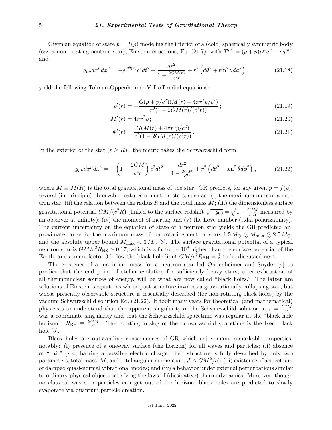Given an equation of state  $p = f(\rho)$  modeling the interior of a (cold) spherically symmetric body (say a non-rotating neutron star), Einstein equations, Eq. (21.7), with  $T^{\mu\nu} = (\rho + p)u^{\mu}u^{\nu} + pg^{\mu\nu}$ , and

$$
g_{\mu\nu}dx^{\mu}dx^{\nu} = -e^{2\Phi(r)}c^2dt^2 + \frac{dr^2}{1 - \frac{2GM(r)}{c^2r}} + r^2\left(d\theta^2 + \sin^2\theta d\phi^2\right),\tag{21.18}
$$

yield the following Tolman-Oppenheimer-Volkoff radial equations:

$$
p'(r) = -\frac{G(\rho + p/c^2)(M(r) + 4\pi r^3 p/c^2)}{r^2(1 - 2GM(r)/(c^2 r))};
$$
\n(21.19)

$$
M'(r) = 4\pi r^2 \rho \tag{21.20}
$$

$$
\Phi'(r) = \frac{G(M(r) + 4\pi r^3 p/c^2)}{r^2 (1 - 2GM(r)/(c^2 r))}.
$$
\n(21.21)

In the exterior of the star  $(r \geq R)$ , the metric takes the Schwarzschild form

$$
g_{\mu\nu}dx^{\mu}dx^{\nu} = -\left(1 - \frac{2GM}{c^2r}\right)c^2dt^2 + \frac{dr^2}{1 - \frac{2GM}{c^2r}} + r^2\left(d\theta^2 + \sin^2\theta d\phi^2\right),\tag{21.22}
$$

where  $M \equiv M(R)$  is the total gravitational mass of the star. GR predicts, for any given  $p = f(\rho)$ , several (in principle) observable features of neutron stars, such as: (i) the maximum mass of a neutron star; (ii) the relation between the radius  $R$  and the total mass  $M$ ; (iii) the dimensionless surface gravitational potential  $GM/(c^2R)$  (linked to the surface redshift  $\sqrt{-g_{00}} = \sqrt{1 - \frac{2GM}{c^2R}}$  $\frac{2GM}{c^2R}$  measured by an observer at infinity); (iv) the moment of inertia; and (v) the Love number (tidal polarizability). The current uncertainty on the equation of state of a neutron star yields the GR-predicted approximate range for the maximum mass of non-rotating neutron stars  $1.5 M_{\odot} \lesssim M_{\text{max}} \lesssim 2.5 M_{\odot}$ , and the absolute upper bound  $M_{\text{max}} < 3 M_{\odot}$  [\[3\]](#page-21-2). The surface gravitational potential of a typical neutron star is  $GM/c^2 R_{\rm NS} \simeq 0.17$ , which is a factor ~ 10<sup>8</sup> higher than the surface potential of the Earth, and a mere factor 3 below the black hole limit  $GM/c^2R_{\text{BH}} = \frac{1}{2}$  $\frac{1}{2}$  to be discussed next.

The existence of a maximum mass for a neutron star led Oppenheimer and Snyder [\[4\]](#page-21-3) to predict that the end point of stellar evolution for sufficiently heavy stars, after exhaustion of all thermonuclear sources of energy, will be what are now called "black holes." The latter are solutions of Einstein's equations whose past structure involves a gravitationally collapsing star, but whose presently observable structure is essentially described (for non-rotating black holes) by the vacuum Schwarzschild solution Eq. (21.22). It took many years for theoretical (and mathematical) physicists to understand that the apparent singularity of the Schwarzschild solution at  $r = \frac{2GM}{c^2}$ *c* 2 was a coordinate singularity and that the Schwarzschild spacetime was regular at the "black hole horizon",  $R_{\text{BH}} \equiv \frac{2GM}{c^2}$  $\frac{GM}{c^2}$ . The rotating analog of the Schwarzschild spacetime is the Kerr black hole  $[5]$ .

Black holes are outstanding consequences of GR which enjoy many remarkable properties, notably: (i) presence of a one-way surface (the horizon) for all waves and particles; (ii) absence of "hair" (*i.e.*, barring a possible electric charge, their structure is fully described by only two parameters, total mass, *M*, and total angular momentum,  $J \leq GM^2/c$ ; (iii) existence of a spectrum of damped quasi-normal vibrational modes; and (iv) a behavior under external perturbations similar to ordinary physical objects satisfying the laws of (dissipative) thermodynamics. Moreover, though no classical waves or particles can get out of the horizon, black holes are predicted to slowly evaporate via quantum particle creation.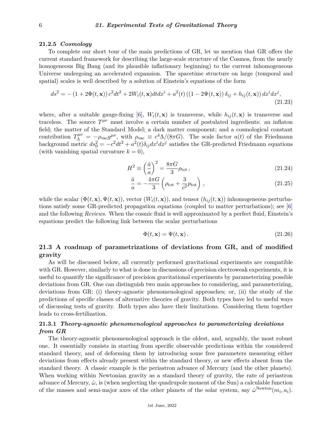### **21.2.5** *Cosmology*

To complete our short tour of the main predictions of GR, let us mention that GR offers the current standard framework for describing the large-scale structure of the Cosmos, from the nearly homogeneous Big Bang (and its plausible inflationary beginning) to the current inhomogeneous Universe undergoing an accelerated expansion. The spacetime structure on large (temporal and spatial) scales is well described by a solution of Einstein's equations of the form

$$
ds^{2} = -(1 + 2\Phi(t, \mathbf{x})) c^{2} dt^{2} + 2W_{i}(t, \mathbf{x}) dt dx^{i} + a^{2}(t) ((1 - 2\Psi(t, \mathbf{x})) \delta_{ij} + h_{ij}(t, \mathbf{x})) dx^{i} dx^{j},
$$
\n(21.23)

where, after a suitable gauge-fixing [\[6\]](#page-21-5),  $W_i(t, \mathbf{x})$  is transverse, while  $h_{ij}(t, \mathbf{x})$  is transverse and traceless. The source  $T^{\mu\nu}$  must involve a certain number of postulated ingredients: an inflaton field; the matter of the Standard Model; a dark matter component; and a cosmological constant contribution  $T^{\mu\nu}_{\Lambda} = -\rho_{\text{vac}} g^{\mu\nu}$ , with  $\rho_{\text{vac}} \equiv c^4 \Lambda/(8 \pi G)$ . The scale factor  $a(t)$  of the Friedmann background metric  $ds_0^2 = -c^2 dt^2 + a^2(t)\delta_{ij} dx^i dx^j$  satisfies the GR-predicted Friedmann equations (with vanishing spatial curvature  $k = 0$ ),

$$
H^2 \equiv \left(\frac{\dot{a}}{a}\right)^2 = \frac{8\pi G}{3}\rho_{\text{tot}}\,,\tag{21.24}
$$

$$
\frac{\ddot{a}}{a} = -\frac{4\pi G}{3} \left( \rho_{\text{tot}} + \frac{3}{c^2} p_{\text{tot}} \right),\tag{21.25}
$$

while the scalar  $(\Phi(t, \mathbf{x}), \Psi(t, \mathbf{x}))$ , vector  $(W_i(t, \mathbf{x}))$ , and tensor  $(h_{ij}(t, \mathbf{x}))$  inhomogeneous perturbations satisfy some GR-predicted propagation equations (coupled to matter perturbations); see [\[6\]](#page-21-5) and the following *Reviews*. When the cosmic fluid is well approximated by a perfect fluid, Einstein's equations predict the following link between the scalar perturbations

$$
\Phi(t, \mathbf{x}) = \Psi(t, \mathbf{x}).\tag{21.26}
$$

# **21.3 A roadmap of parametrizations of deviations from GR, and of modified gravity**

As will be discussed below, all currently performed gravitational experiments are compatible with GR. However, similarly to what is done in discussions of precision electroweak experiments, it is useful to quantify the significance of precision gravitational experiments by parameterizing possible deviations from GR. One can distinguish two main approaches to considering, and parameterizing, deviations from GR: (i) theory-agnostic phenomenological approaches; or, (ii) the study of the predictions of specific classes of alternative theories of gravity. Both types have led to useful ways of discussing tests of gravity. Both types also have their limitations. Considering them together leads to cross-fertilization.

# **21.3.1** *Theory-agnostic phenomenological approaches to parameterizing deviations from GR*

The theory-agnostic phenomenological approach is the oldest, and, arguably, the most robust one. It essentially consists in starting from specific observable predictions within the considered standard theory, and of deforming them by introducing some free parameters measuring either deviations from effects already present within the standard theory, or new effects absent from the standard theory. A classic example is the periastron advance of Mercury (and the other planets). When working within Newtonian gravity as a standard theory of gravity, the rate of periastron advance of Mercury,  $\dot{\omega}$ , is (when neglecting the quadrupole moment of the Sun) a calculable function of the masses and semi-major axes of the other planets of the solar system, say  $\dot{\omega}^{\text{Newton}}(m_i, a_i)$ .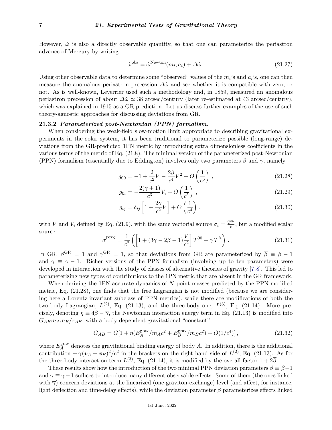However,  $\dot{\omega}$  is also a directly observable quantity, so that one can parameterize the periastron advance of Mercury by writing

$$
\dot{\omega}^{\text{obs}} = \dot{\omega}^{\text{Newton}}(m_i, a_i) + \Delta \dot{\omega} \,. \tag{21.27}
$$

Using other observable data to determine some "observed" values of the  $m_i$ 's and  $a_i$ 's, one can then measure the anomalous periastron precession *∆ω*˙ and see whether it is compatible with zero, or not. As is well-known, Leverrier used such a methodology and, in 1859, measured an anomalous periastron precession of about  $\Delta\omega \simeq 38$  arcsec/century (later re-estimated at 43 arcsec/century), which was explained in 1915 as a GR prediction. Let us discuss further examples of the use of such theory-agnostic approaches for discussing deviations from GR.

# **21.3.2** *Parameterized post-Newtonian (PPN) formalism.*

When considering the weak-field slow-motion limit appropriate to describing gravitational experiments in the solar system, it has been traditional to parameterize possible (long-range) deviations from the GR-predicted 1PN metric by introducing extra dimensionless coefficients in the various terms of the metric of Eq. (21.8). The minimal version of the parameterized post-Newtonian (PPN) formalism (essentially due to Eddington) involves only two parameters *β* and *γ*, namely

$$
g_{00} = -1 + \frac{2}{c^2}V - \frac{2\beta}{c^4}V^2 + O\left(\frac{1}{c^6}\right),\tag{21.28}
$$

$$
g_{0i} = -\frac{2(\gamma + 1)}{c^3}V_i + O\left(\frac{1}{c^5}\right),\tag{21.29}
$$

$$
g_{ij} = \delta_{ij} \left[ 1 + \frac{2\gamma}{c^2} V \right] + O\left(\frac{1}{c^4}\right) ,\qquad (21.30)
$$

with *V* and *V*<sub>*i*</sub> defined by Eq. (21.9), with the same vectorial source  $\sigma_i = \frac{T^{0i}}{c}$  $\frac{a}{c}$ , but a modified scalar source

$$
\sigma^{\rm PPN} = \frac{1}{c^2} \left( \left[ 1 + (3\gamma - 2\beta - 1) \frac{V}{c^2} \right] T^{00} + \gamma T^{ii} \right) . \tag{21.31}
$$

In GR,  $\beta^{GR} = 1$  and  $\gamma^{GR} = 1$ , so that deviations from GR are parameterized by  $\overline{\beta} = \beta - 1$ and  $\overline{\gamma} \equiv \gamma - 1$ . Richer versions of the PPN formalism (involving up to ten parameters) were developed in interaction with the study of classes of alternative theories of gravity [\[7,](#page-21-6)[8\]](#page-21-7). This led to parameterizing new types of contributions to the 1PN metric that are absent in the GR framework.

When deriving the 1PN-accurate dynamics of *N* point masses predicted by the PPN-modified metric, Eq. (21.28), one finds that the free Lagrangian is not modified (because we are considering here a Lorentz-invariant subclass of PPN metrics), while there are modifications of both the two-body Lagrangian,  $L^{(2)}$ , Eq. (21.13), and the three-body one,  $L^{(3)}$ , Eq. (21.14). More precisely, denoting  $\eta \equiv 4\overline{\beta} - \overline{\gamma}$ , the Newtonian interaction energy term in Eq. (21.13) is modified into  $G_{AB}m_Am_B/r_{AB}$ , with a body-dependent gravitational "constant"

$$
G_{AB} = G[1 + \eta (E_A^{\text{grav}} / m_A c^2 + E_B^{\text{grav}} / m_B c^2) + O(1/c^4)], \qquad (21.32)
$$

where  $E_A^{\text{grav}}$ <sup>grav</sup> denotes the gravitational binding energy of body *A*. In addition, there is the additional contribution  $+\overline{\gamma}(v_A - v_B)^2/c^2$  in the brackets on the right-hand side of  $L^{(2)}$ , Eq. (21.13). As for the three-body interaction term  $L^{(3)}$ , Eq. (21.14), it is modified by the overall factor  $1 + 2\overline{\beta}$ .

These results show how the introduction of the two minimal PPN deviation parameters  $\overline{\beta} \equiv \beta - 1$ and  $\overline{\gamma} \equiv \gamma - 1$  suffices to introduce many different observable effects. Some of them (the ones linked with  $\bar{\gamma}$ ) concern deviations at the linearized (one-graviton-exchange) level (and affect, for instance, light deflection and time-delay effects), while the deviation parameter *β* parameterizes effects linked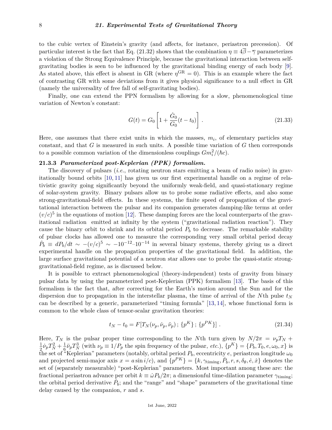to the cubic vertex of Einstein's gravity (and affects, for instance, periastron precession). Of particular interest is the fact that Eq. (21.32) shows that the combination  $\eta = 4\overline{\beta} - \overline{\gamma}$  parameterizes a violation of the Strong Equivalence Principle, because the gravitational interaction between selfgravitating bodies is seen to be influenced by the gravitational binding energy of each body [\[9\]](#page-21-8). As stated above, this effect is absent in GR (where  $\eta^{\text{GR}} = 0$ ). This is an example where the fact of contrasting GR with some deviations from it gives physical significance to a null effect in GR (namely the universality of free fall of self-gravitating bodies).

Finally, one can extend the PPN formalism by allowing for a slow, phenomenological time variation of Newton's constant:

$$
G(t) = G_0 \left[ 1 + \frac{\dot{G}_0}{G_0}(t - t_0) \right].
$$
 (21.33)

Here, one assumes that there exist units in which the masses,  $m_i$ , of elementary particles stay constant, and that *G* is measured in such units. A possible time variation of *G* then corresponds to a possible common variation of the dimensionless couplings  $Gm_i^2/(\hbar c)$ .

#### **21.3.3** *Parameterized post-Keplerian (PPK) formalism.*

The discovery of pulsars (*i.e.*, rotating neutron stars emitting a beam of radio noise) in gravitationally bound orbits [\[10,](#page-21-9) [11\]](#page-21-10) has given us our first experimental handle on a regime of relativistic gravity going significantly beyond the uniformly weak-field, and quasi-stationary regime of solar-system gravity. Binary pulsars allow us to probe some radiative effects, and also some strong-gravitational-field effects. In these systems, the finite speed of propagation of the gravitational interaction between the pulsar and its companion generates damping-like terms at order  $(v/c)^5$  in the equations of motion [\[12\]](#page-21-11). These damping forces are the local counterparts of the gravitational radiation emitted at infinity by the system ("gravitational radiation reaction"). They cause the binary orbit to shrink and its orbital period  $P<sub>b</sub>$  to decrease. The remarkable stability of pulsar clocks has allowed one to measure the corresponding very small orbital period decay  $\dot{P}_b \equiv dP_b/dt \sim -(v/c)^5 \sim -10^{-12}$ –10<sup>-14</sup> in several binary systems, thereby giving us a direct experimental handle on the propagation properties of the gravitational field. In addition, the large surface gravitational potential of a neutron star allows one to probe the quasi-static stronggravitational-field regime, as is discussed below.

It is possible to extract phenomenological (theory-independent) tests of gravity from binary pulsar data by using the parameterized post-Keplerian (PPK) formalism [\[13\]](#page-21-12). The basis of this formalism is the fact that, after correcting for the Earth's motion around the Sun and for the dispersion due to propagation in the interstellar plasma, the time of arrival of the *N*th pulse  $t<sub>N</sub>$ can be described by a generic, parameterized "timing formula" [\[13,](#page-21-12) [14\]](#page-21-13), whose functional form is common to the whole class of tensor-scalar gravitation theories:

$$
t_N - t_0 = F[T_N(\nu_p, \dot{\nu}_p, \ddot{\nu}_p); \{p^K\}; \{p^{PK}\}].
$$
 (21.34)

Here,  $T_N$  is the pulsar proper time corresponding to the *N*th turn given by  $N/2\pi = \nu_p T_N +$ 1  $\frac{1}{2}\dot{\nu}_p T_N^2 + \frac{1}{6}$  $\frac{1}{6} \nu_p T_N^3$  (with  $\nu_p \equiv 1/P_p$  the spin frequency of the pulsar, *etc.*),  $\{p^K\} = \{P_b, T_0, e, \omega_0, x\}$  is the set of "Keplerian" parameters (notably, orbital period  $P_b$ , eccentricity  $e$ , periastron longitude  $\omega_0$ and projected semi-major axis  $x = a \sin i/c$ , and  $\{p^{PK}\} = \{k, \gamma_{\text{tuning}}, P_b, r, s, \delta_\theta, \dot{e}, \dot{x}\}\$  denotes the set of (separately measurable) "post-Keplerian" parameters. Most important among these are: the fractional periastron advance per orbit  $k \equiv \omega P_b/2\pi$ ; a dimensionful time-dilation parameter  $\gamma_{\text{tuning}}$ ; the orbital period derivative  $\dot{P}_b$ ; and the "range" and "shape" parameters of the gravitational time delay caused by the companion, *r* and *s*.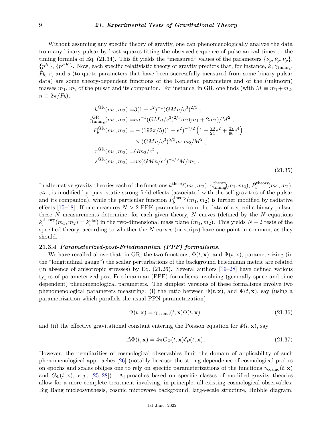### 9 *21. Experimental Tests of Gravitational Theory*

Without assuming any specific theory of gravity, one can phenomenologically analyze the data from any binary pulsar by least-squares fitting the observed sequence of pulse arrival times to the timing formula of Eq. (21.34). This fit yields the "measured" values of the parameters  $\{\nu_p, \dot{\nu}_p, \ddot{\nu}_p\}$ ,  $\{p^K\}$ ,  $\{p^{PK}\}$ . Now, each specific relativistic theory of gravity predicts that, for instance, *k*,  $\gamma$ <sub>timing</sub>,  $P_b$ ,  $r$ , and  $s$  (to quote parameters that have been successfully measured from some binary pulsar data) are some theory-dependent functions of the Keplerian parameters and of the (unknown) masses  $m_1$ ,  $m_2$  of the pulsar and its companion. For instance, in GR, one finds (with  $M \equiv m_1 + m_2$ ,  $n \equiv 2\pi/P_b$ ,

$$
k^{GR}(m_1, m_2) = 3(1 - e^2)^{-1} (GMn/c^3)^{2/3} ,
$$
  
\n
$$
\gamma_{\text{timing}}^{GR}(m_1, m_2) = en^{-1} (GMn/c^3)^{2/3} m_2(m_1 + 2m_2)/M^2 ,
$$
  
\n
$$
\dot{P}_b^{GR}(m_1, m_2) = -(192\pi/5)(1 - e^2)^{-7/2} \left(1 + \frac{73}{24}e^2 + \frac{37}{96}e^4\right)
$$
  
\n
$$
\times (GMn/c^3)^{5/3} m_1 m_2/M^2 ,
$$
  
\n
$$
r^{GR}(m_1, m_2) = Gm_2/c^3 ,
$$
  
\n
$$
s^{GR}(m_1, m_2) = nx (GMn/c^3)^{-1/3} M/m_2 .
$$
\n(21.35)

In alternative gravity theories each of the functions  $k^{\text{theory}}(m_1, m_2)$ ,  $\gamma^{\text{theory}}_{\text{tuning}}(m_1, m_2)$ ,  $\dot{P}_b^{\text{theory}}$  $b_b^{\text{theory}}(m_1, m_2),$ *etc.*, is modified by quasi-static strong field effects (associated with the self-gravities of the pulsar and its companion), while the particular function  $\dot{P}_h^{\text{theory}}$  $b_b^{\text{theory}}(m_1, m_2)$  is further modified by radiative effects [\[15–](#page-21-14)[18\]](#page-22-0). If one measures  $N > 2$  PPK parameters from the data of a specific binary pulsar, these *N* measurements determine, for each given theory, *N* curves (defined by the *N* equations  $k_i^{\text{theory}}$  $i_i^{\text{theory}}(m_1, m_2) = k_i^{\text{obs}}$ ) in the two-dimensional mass plane  $(m_1, m_2)$ . This yields  $N - 2$  tests of the specified theory, according to whether the *N* curves (or strips) have one point in common, as they should.

## **21.3.4** *Parameterized-post-Friedmannian (PPF) formalisms.*

We have recalled above that, in GR, the two functions,  $\Phi(t, \mathbf{x})$ , and  $\Psi(t, \mathbf{x})$ , parameterizing (in the "longitudinal gauge") the scalar perturbations of the background Friedmann metric are related (in absence of anisotropic stresses) by Eq. (21.26). Several authors [\[19–](#page-22-1)[28\]](#page-22-2) have defined various types of parameterized-post-Friedmannian (PPF) formalisms involving (generally space and time dependent) phenomenological parameters. The simplest versions of these formalisms involve two phenomenological parameters measuring: (i) the ratio between  $\Phi(t, \mathbf{x})$ , and  $\Psi(t, \mathbf{x})$ , say (using a parametrization which parallels the usual PPN parametrization)

$$
\Psi(t, \mathbf{x}) = \gamma_{\text{cosmo}}(t, \mathbf{x}) \Phi(t, \mathbf{x});
$$
\n(21.36)

and (ii) the effective gravitational constant entering the Poisson equation for  $\Phi(t, \mathbf{x})$ , say

$$
\Delta\Phi(t, \mathbf{x}) = 4\pi G_{\Phi}(t, \mathbf{x})\delta\rho(t, \mathbf{x}). \tag{21.37}
$$

However, the peculiarities of cosmological observables limit the domain of applicability of such phenomenological approaches [\[26\]](#page-22-3) (notably because the strong dependence of cosmological probes on epochs and scales obliges one to rely on specific parameterizations of the functions  $\gamma_{\text{cosmo}}(t, \mathbf{x})$ and  $G_{\Phi}(t, \mathbf{x})$ , *e.g.*, [\[25,](#page-22-4) [28\]](#page-22-2)). Approaches based on specific classes of modified-gravity theories allow for a more complete treatment involving, in principle, all existing cosmological observables: Big Bang nucleosynthesis, cosmic microwave background, large-scale structure, Hubble diagram,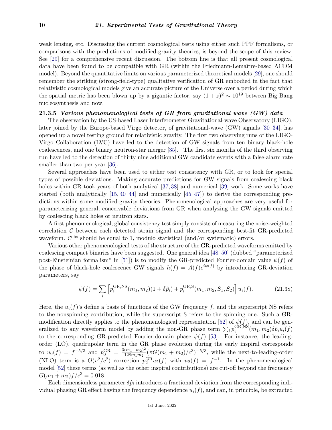weak lensing, etc. Discussing the current cosmological tests using either such PPF formalisms, or comparisons with the predictions of modified-gravity theories, is beyond the scope of this review. See [\[29\]](#page-22-5) for a comprehensive recent discussion. The bottom line is that all present cosmological data have been found to be compatible with GR (within the Friedmann-Lemaître-based ΛCDM model). Beyond the quantitative limits on various parameterized theoretical models [\[29\]](#page-22-5), one should remember the striking (strong-field-type) qualitative verification of GR embodied in the fact that relativistic cosmological models give an accurate picture of the Universe over a period during which the spatial metric has been blown up by a gigantic factor, say  $(1+z)^2 \sim 10^{19}$  between Big Bang nucleosynthesis and now.

# **21.3.5** *Various phenomenological tests of GR from gravitational wave (GW) data*

The observation by the US-based Laser Interferometer Gravitational-wave Observatory (LIGO), later joined by the Europe-based Virgo detector, of gravitational-wave (GW) signals [\[30–](#page-22-6)[34\]](#page-22-7), has opened up a novel testing ground for relativistic gravity. The first two observing runs of the LIGO-Virgo Collaboration (LVC) have led to the detection of GW signals from ten binary black-hole coalescences, and one binary neutron-star merger [\[35\]](#page-22-8). The first six months of the third observing run have led to the detection of thirty nine additional GW candidate events with a false-alarm rate smaller than two per year [\[36\]](#page-22-9).

Several approaches have been used to either test consistency with GR, or to look for special types of possible deviations. Making accurate predictions for GW signals from coalescing black holes within GR took years of both analytical [\[37,](#page-22-10) [38\]](#page-22-11) and numerical [\[39\]](#page-22-12) work. Some works have started (both analytically [\[15,](#page-21-14) [40–](#page-22-13)[44\]](#page-22-14) and numerically [\[45–](#page-22-15)[47\]](#page-22-16)) to derive the corresponding predictions within some modified-gravity theories. Phenomenological approaches are very useful for parameterizing general, conceivable deviations from GR when analyzing the GW signals emitted by coalescing black holes or neutron stars.

A first phenomenological, global consistency test simply consists of measuring the noise-weighted correlation  $\mathcal C$  between each detected strain signal and the corresponding best-fit GR-predicted waveform.  $\mathcal{C}^{\text{obs}}$  should be equal to 1, modulo statistical (and/or systematic) errors.

Various other phenomenological tests of the structure of the GR-predicted waveforms emitted by coalescing compact binaries have been suggested. One general idea [\[48–](#page-22-17)[50\]](#page-23-0) (dubbed "parameterized post-Einsteinian formalism" in [\[51\]](#page-23-1)) is to modify the GR-predicted Fourier-domain value *ψ*(*f*) of the phase of black-hole coalescence GW signals  $h(f) = A(f)e^{i\psi(f)}$  by introducing GR-deviation parameters, say

$$
\psi(f) = \sum_{i} \left[ p_i^{\text{GR,NS}}(m_1, m_2)(1 + \delta \hat{p}_i) + p_i^{\text{GR, S}}(m_1, m_2, S_1, S_2) \right] u_i(f). \tag{21.38}
$$

Here, the  $u_i(f)$ 's define a basis of functions of the GW frequency f, and the superscript NS refers to the nonspinning contribution, while the superscript S refers to the spinning one. Such a GR-modification directly applies to the phenomenological representation [\[52\]](#page-23-2) of  $\psi(f)$ , and can be generalized to any waveform model by adding the non-GR phase term  $\sum_i p_i^{\text{GR,NS}}$  $\hat{p}_i^{\text{GR,NS}}(m_1, m_2) \delta \hat{p}_i u_i(f)$ to the corresponding GR-predicted Fourier-domain phase  $\psi(f)$  [\[53\]](#page-23-3). For instance, the leadingorder (LO), quadrupolar term in the GR phase evolution during the early inspiral corresponds to  $u_0(f) = f^{-5/3}$  and  $p_0^{\text{GR}} = \frac{3(m_1 + m_2)^2}{128m_1m_2}$  $\frac{(m_1+m_2)^2}{128m_1m_2}(\pi G(m_1+m_2)/c^3)^{-5/3}$ , while the next-to-leading-order (NLO) term is a  $O(v^2/c^2)$  correction  $p_2^{\text{GR}}u_2(f)$  with  $u_2(f) = f^{-1}$ . In the phenomenological model [\[52\]](#page-23-2) these terms (as well as the other inspiral contributions) are cut-off beyond the frequency  $G(m_1 + m_2)f/c^3 = 0.018.$ 

Each dimensionless parameter  $\delta \hat{p}_i$  introduces a fractional deviation from the corresponding individual phasing GR effect having the frequency dependence  $u_i(f)$ , and can, in principle, be extracted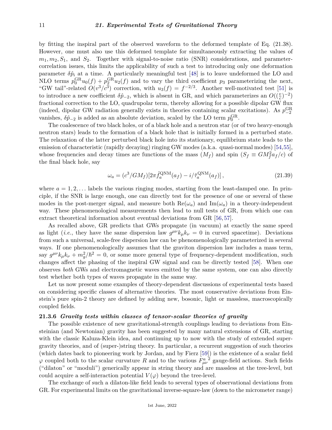by fitting the inspiral part of the observed waveform to the deformed template of Eq. (21.38). However, one must also use this deformed template for simultaneously extracting the values of  $m_1, m_2, S_1$ , and  $S_2$ . Together with signal-to-noise ratio (SNR) considerations, and parametercorrelation issues, this limits the applicability of such a test to introducing only one deformation parameter  $\delta \hat{p}_i$  at a time. A particularly meaningful test [\[48\]](#page-22-17) is to leave undeformed the LO and NLO terms  $p_0^{\text{GR}}u_0(f) + p_2^{\text{GR}}u_2(f)$  and to vary the third coefficient  $p_3$  parameterizing the next, "GW tail"-related  $O(v^3/c^3)$  correction, with  $u_3(f) = f^{-2/3}$ . Another well-motivated test [\[51\]](#page-23-1) is to introduce a new coefficient  $\delta \hat{p}_{-2}$ , which is absent in GR, and which parameterizes an  $O((\frac{v}{c})^{-2})$ fractional correction to the LO, quadrupolar term, thereby allowing for a possible dipolar GW flux (indeed, dipolar GW radiation generally exists in theories containing scalar excitations). As  $p_{-2}^{\text{GR}}$ vanishes,  $\delta \hat{p}_{-2}$  is added as an absolute deviation, scaled by the LO term  $p_0^{\text{GR}}$ .

The coalescence of two black holes, or of a black hole and a neutron star (or of two heavy-enough neutron stars) leads to the formation of a black hole that is initially formed in a perturbed state. The relaxation of the latter perturbed black hole into its stationary, equilibrium state leads to the emission of characteristic (rapidly decaying) ringing GW modes (a.k.a. quasi-normal modes) [\[54,](#page-23-4)[55\]](#page-23-5), whose frequencies and decay times are functions of the mass  $(M_f)$  and spin  $(S_f \equiv GM_f^2 a_f/c)$  of the final black hole, say

$$
\omega_a = (c^3/GM_f)[2\pi \hat{f}_a^{\text{QNM}}(a_f) - i/\hat{\tau}_a^{\text{QNM}}(a_f)],
$$
\n(21.39)

where  $a = 1, 2, \ldots$  labels the various ringing modes, starting from the least-damped one. In principle, if the SNR is large enough, one can directly test for the presence of one or several of these modes in the post-merger signal, and measure both  $\text{Re}(\omega_a)$  and  $\text{Im}(\omega_a)$  in a theory-independent way. These phenomenological measurements then lead to null tests of GR, from which one can extract theoretical information about eventual deviations from GR [\[56,](#page-23-6) [57\]](#page-23-7).

As recalled above, GR predicts that GWs propagate (in vacuum) at exactly the same speed as light (*i.e.*, they have the same dispersion law  $g^{\mu\nu}k_{\mu}k_{\nu}=0$  in curved spacetime). Deviations from such a universal, scale-free dispersion law can be phenomenologically parameterized in several ways. If one phenomenologically assumes that the graviton dispersion law includes a mass term, say  $g^{\mu\nu}k_{\mu}k_{\nu} + m_g^2/\hbar^2 = 0$ , or some more general type of frequency-dependent modification, such changes affect the phasing of the inspiral GW signal and can be directly tested [\[58\]](#page-23-8). When one observes *both* GWs and electromagnetic waves emitted by the same system, one can also directly test whether both types of waves propagate in the same way.

Let us now present some examples of theory-dependent discussions of experimental tests based on considering specific classes of alternative theories. The most conservative deviations from Einstein's pure spin-2 theory are defined by adding new, bosonic, light or massless, macroscopically coupled fields.

### **21.3.6** *Gravity tests within classes of tensor-scalar theories of gravity*

The possible existence of new gravitational-strength couplings leading to deviations from Einsteinian (and Newtonian) gravity has been suggested by many natural extensions of GR, starting with the classic Kaluza-Klein idea, and continuing up to now with the study of extended supergravity theories, and of (super-)string theory. In particular, a recurrent suggestion of such theories (which dates back to pioneering work by Jordan, and by Fierz [\[59\]](#page-23-9)) is the existence of a scalar field  $\varphi$  coupled both to the scalar curvature *R* and to the various  $F_{\mu\nu}^{a}$  gauge-field actions. Such fields ("dilaton" or "moduli") generically appear in string theory and are massless at the tree-level, but could acquire a self-interaction potential  $V(\varphi)$  beyond the tree-level.

The exchange of such a dilaton-like field leads to several types of observational deviations from GR. For experimental limits on the gravitational inverse-square-law (down to the micrometer range)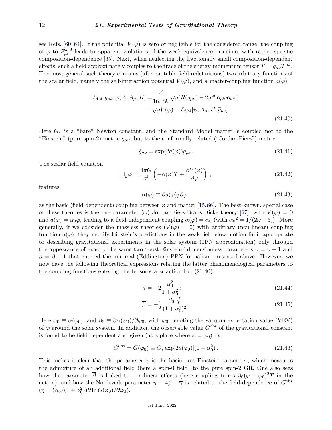see Refs. [\[60](#page-23-10)[–64\]](#page-23-11). If the potential  $V(\varphi)$  is zero or negligible for the considered range, the coupling of  $\varphi$  to  $F_{\mu\nu}^a$ <sup>2</sup> leads to apparent violations of the weak equivalence principle, with rather specific composition-dependence [\[65\]](#page-23-12). Next, when neglecting the fractionally small composition-dependent effects, such a field approximately couples to the trace of the energy-momentum tensor  $T = g_{\mu\nu}T^{\mu\nu}$ . The most general such theory contains (after suitable field redefinitions) two arbitrary functions of the scalar field, namely the self-interaction potential  $V(\varphi)$ , and a matter-coupling function  $a(\varphi)$ :

$$
\mathcal{L}_{\text{tot}}[g_{\mu\nu}, \varphi, \psi, A_{\mu}, H] = \frac{c^4}{16\pi G_*} \sqrt{g} (R(g_{\mu\nu}) - 2g^{\mu\nu} \partial_{\mu}\varphi \partial_{\nu}\varphi) \n- \sqrt{g}V(\varphi) + \mathcal{L}_{\text{SM}}[\psi, A_{\mu}, H, \tilde{g}_{\mu\nu}].
$$
\n(21.40)

Here *G*<sup>∗</sup> is a "bare" Newton constant, and the Standard Model matter is coupled not to the "Einstein" (pure spin-2) metric *gµν*, but to the conformally related ("Jordan-Fierz") metric

$$
\widetilde{g}_{\mu\nu} = \exp(2a(\varphi))g_{\mu\nu}.
$$
\n(21.41)

The scalar field equation

$$
\Box_g \varphi = \frac{4\pi G}{c^4} \left( -\alpha(\varphi)T + \frac{\partial V(\varphi)}{\partial \varphi} \right), \qquad (21.42)
$$

features

$$
\alpha(\varphi) \equiv \partial a(\varphi) / \partial \varphi \,, \tag{21.43}
$$

as the basic (field-dependent) coupling between  $\varphi$  and matter [\[15,](#page-21-14)[66\]](#page-23-13). The best-known, special case of these theories is the one-parameter  $(\omega)$  Jordan-Fierz-Brans-Dicke theory [\[67\]](#page-23-14), with  $V(\varphi) = 0$ and  $a(\varphi) = \alpha_0 \varphi$ , leading to a field-independent coupling  $\alpha(\varphi) = \alpha_0$  (with  $\alpha_0^2 = 1/(2\omega + 3)$ ). More generally, if we consider the massless theories  $(V(\varphi) = 0)$  with arbitrary (non-linear) coupling function  $a(\varphi)$ , they modify Einstein's predictions in the weak-field slow-motion limit appropriate to describing gravitational experiments in the solar system (1PN approximation) only through the appearance of exactly the same two "post-Einstein" dimensionless parameters  $\overline{\gamma} = \gamma - 1$  and  $\overline{\beta} = \beta - 1$  that entered the minimal (Eddington) PPN formalism presented above. However, we now have the following theoretical expressions relating the latter phenomenological parameters to the coupling functions entering the tensor-scalar action Eq. (21.40):

$$
\overline{\gamma} = -2 \frac{\alpha_0^2}{1 + \alpha_0^2};
$$
\n(21.44)

$$
\overline{\beta} = +\frac{1}{2} \frac{\beta_0 \alpha_0^2}{(1 + \alpha_0^2)^2} \,. \tag{21.45}
$$

Here  $\alpha_0 \equiv \alpha(\varphi_0)$ , and  $\beta_0 \equiv \partial \alpha(\varphi_0)/\partial \varphi_0$ , with  $\varphi_0$  denoting the vacuum expectation value (VEV) of  $\varphi$  around the solar system. In addition, the observable value  $G^{\text{obs}}$  of the gravitational constant is found to be field-dependent and given (at a place where  $\varphi = \varphi_0$ ) by

$$
G^{\rm obs} = G(\varphi_0) \equiv G_* \exp[2a(\varphi_0)](1 + \alpha_0^2). \tag{21.46}
$$

This makes it clear that the parameter  $\overline{\gamma}$  is the basic post-Einstein parameter, which measures the admixture of an additional field (here a spin-0 field) to the pure spin-2 GR. One also sees how the parameter  $\bar{\beta}$  is linked to non-linear effects (here coupling terms  $\beta_0(\varphi - \varphi_0)^2 T$  in the action), and how the Nordtvedt parameter  $\eta = 4\overline{\beta} - \overline{\gamma}$  is related to the field-dependence of *G*<sup>obs</sup>  $(\eta = (\alpha_0/(1 + \alpha_0^2))\partial \ln G(\varphi_0)/\partial \varphi_0).$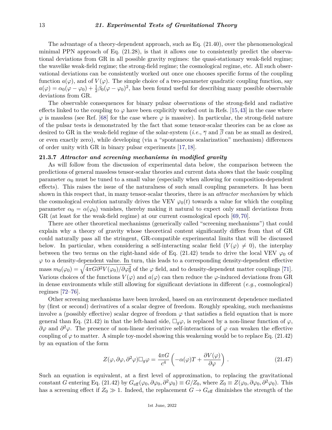The advantage of a theory-dependent approach, such as Eq. (21.40), over the phenomenological minimal PPN approach of Eq. (21.28), is that it allows one to consistently predict the observational deviations from GR in all possible gravity regimes: the quasi-stationary weak-field regime; the wavelike weak-field regime; the strong-field regime; the cosmological regime, etc. All such observational deviations can be consistently worked out once one chooses specific forms of the coupling function  $a(\varphi)$ , and of  $V(\varphi)$ . The simple choice of a two-parameter quadratic coupling function, say  $a(\varphi) = \alpha_0(\varphi - \varphi_0) + \frac{1}{2}\beta_0(\varphi - \varphi_0)^2$ , has been found useful for describing many possible observable deviations from GR.

The observable consequences for binary pulsar observations of the strong-field and radiative effects linked to the coupling to  $\varphi$  have been explicitly worked out in Refs. [\[15,](#page-21-14)[43\]](#page-22-18) in the case where  $\varphi$  is massless (see Ref. [\[68\]](#page-23-15) for the case where  $\varphi$  is massive). In particular, the strong-field nature of the pulsar tests is demonstrated by the fact that some tensor-scalar theories can be as close as desired to GR in the weak-field regime of the solar-system (*i.e.*, *γ* and *β* can be as small as desired, or even exactly zero), while developing (via a "spontaneous scalarization" mechanism) differences of order unity with GR in binary pulsar experiments [\[17,](#page-21-15) [18\]](#page-22-0).

## **21.3.7** *Attractor and screening mechanisms in modified gravity*

As will follow from the discussion of experimental data below, the comparison between the predictions of general massless tensor-scalar theories and current data shows that the basic coupling parameter  $\alpha_0$  must be tuned to a small value (especially when allowing for composition-dependent effects). This raises the issue of the naturalness of such small coupling parameters. It has been shown in this respect that, in many tensor-scalar theories, there is an *attractor mechanism* by which the cosmological evolution naturally drives the VEV  $\varphi_0(t)$  towards a value for which the coupling parameter  $\alpha_0 = \alpha(\varphi_0)$  vanishes, thereby making it natural to expect only small deviations from GR (at least for the weak-field regime) at our current cosmological epoch [\[69,](#page-23-16) [70\]](#page-23-17).

There are other theoretical mechanisms (generically called "screening mechanisms") that could explain why a theory of gravity whose theoretical content significantly differs from that of GR could naturally pass all the stringent, GR-compatible experimental limits that will be discussed below. In particular, when considering a self-interacting scalar field  $(V(\varphi) \neq 0)$ , the interplay between the two terms on the right-hand side of Eq. (21.42) tends to drive the local VEV  $\varphi_0$  of  $\varphi$  to a density-dependent value. In turn, this leads to a corresponding density-dependent effective  $\text{mass } m_0(\varphi_0) = \sqrt{4\pi G \partial^2 V(\varphi_0) / \partial \varphi_0^2}$  of the  $\varphi$  field, and to density-dependent matter couplings [\[71\]](#page-23-18). Various choices of the functions  $V(\varphi)$  and  $a(\varphi)$  can then reduce the  $\varphi$ -induced deviations from GR in dense environments while still allowing for significant deviations in different (*e.g.*, cosmological) regimes [\[72](#page-23-19)[–76\]](#page-23-20).

Other screening mechanisms have been invoked, based on an environment dependence mediated by (first or second) derivatives of a scalar degree of freedom. Roughly speaking, such mechanisms involve a (possibly effective) scalar degree of freedom  $\varphi$  that satisfies a field equation that is more general than Eq. (21.42) in that the left-hand side,  $\Box_g \varphi$ , is replaced by a non-linear function of  $\varphi$ , *∂ϕ* and *∂* <sup>2</sup>*ϕ*. The presence of non-linear derivative self-interactions of *ϕ* can weaken the effective coupling of  $\varphi$  to matter. A simple toy-model showing this weakening would be to replace Eq. (21.42) by an equation of the form

$$
Z(\varphi, \partial \varphi, \partial^2 \varphi) \Box_g \varphi = \frac{4\pi G}{c^4} \left( -\alpha(\varphi)T + \frac{\partial V(\varphi)}{\partial \varphi} \right).
$$
 (21.47)

Such an equation is equivalent, at a first level of approximation, to replacing the gravitational constant *G* entering Eq. (21.42) by  $G_{\text{eff}}(\varphi_0, \partial \varphi_0, \partial^2 \varphi_0) \equiv G/Z_0$ , where  $Z_0 \equiv Z(\varphi_0, \partial \varphi_0, \partial^2 \varphi_0)$ . This has a screening effect if  $Z_0 \gg 1$ . Indeed, the replacement  $G \to G_{\text{eff}}$  diminishes the strength of the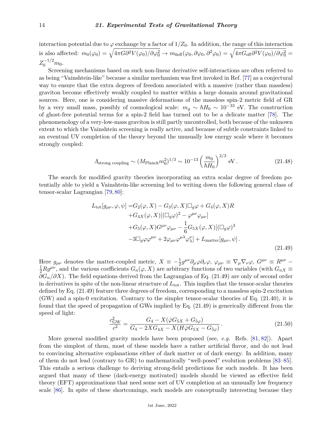interaction potential due to  $\varphi$  exchange by a factor of  $1/Z_0$ . In addition, the range of this interaction is also affected:  $m_0(\varphi_0) = \sqrt{4\pi G \partial^2 V(\varphi_0) / \partial \varphi_0^2} \rightarrow m_{0\text{eff}}(\varphi_0, \partial \varphi_0, \partial^2 \varphi_0) = \sqrt{4\pi G_{\text{eff}} \partial^2 V(\varphi_0) / \partial \varphi_0^2} =$  $Z_0^{-1/2}m_0.$ 

Screening mechanisms based on such non-linear derivative self-interactions are often referred to as being "Vainshtein-like" because a similar mechanism was first invoked in Ref. [\[77\]](#page-23-21) as a conjectural way to ensure that the extra degrees of freedom associated with a massive (rather than massless) graviton become effectively weakly coupled to matter within a large domain around gravitational sources. Here, one is considering massive deformations of the massless spin-2 metric field of GR by a very small mass, possibly of cosmological scale:  $m_q \sim \hbar H_0 \sim 10^{-33}$  eV. The construction of ghost-free potential terms for a spin-2 field has turned out to be a delicate matter [\[78\]](#page-23-22). The phenomenology of a very-low-mass graviton is still partly uncontrolled, both because of the unknown extent to which the Vainshtein screening is really active, and because of subtle constraints linked to an eventual UV completion of the theory beyond the unusually low energy scale where it becomes strongly coupled:

$$
A_{\text{strong coupling}} \sim (M_{\text{Planck}} m_0^2)^{1/3} \sim 10^{-13} \left(\frac{m_0}{\hbar H_0}\right)^{2/3} \text{ eV} \,. \tag{21.48}
$$

The search for modified gravity theories incorporating an extra scalar degree of freedom potentially able to yield a Vainshtein-like screening led to writing down the following general class of tensor-scalar Lagrangian [\[79,](#page-23-23) [80\]](#page-23-24):

$$
L_{\text{tot}}[g_{\mu\nu}, \varphi, \psi] = G_2(\varphi, X) - G_3(\varphi, X)\Box_g \varphi + G_4(\varphi, X)R
$$
  
+
$$
G_{4X}(\varphi, X)[(\Box_g \varphi)^2 - \varphi^{\mu\nu}\varphi_{\mu\nu}]
$$
  
+
$$
G_5(\varphi, X)G^{\mu\nu}\varphi_{\mu\nu} - \frac{1}{6}G_{5X}(\varphi, X)[(\Box_g \varphi)^3
$$
  
-
$$
3\Box_g \varphi \varphi^{\mu\nu} + 2\varphi_{\mu\nu}\varphi^{\mu\lambda}\varphi_{\lambda}^{\nu}] + L_{\text{matter}}[g_{\mu\nu}, \psi].
$$
\n(21.49)

Here  $g_{\mu\nu}$  denotes the matter-coupled metric,  $X = -\frac{1}{2}g^{\mu\nu}\partial_{\mu}\varphi\partial_{\nu}\varphi$ ,  $\varphi_{\mu\nu} \equiv \nabla_{\mu}\nabla_{\nu}\varphi$ ,  $G^{\mu\nu} \equiv R^{\mu\nu} \frac{1}{2}Rg^{\mu\nu}$ , and the various coefficients  $G_n(\varphi, X)$  are arbitrary functions of two variables (with  $G_{nX} \equiv$ *∂G<sub>n</sub>*/∂X). The field equations derived from the Lagrangian of Eq. (21.49) are only of second order in derivatives in spite of the non-linear structure of  $L_{\text{tot}}$ . This implies that the tensor-scalar theories defined by Eq. (21.49) feature three degrees of freedom, corresponding to a massless spin-2 excitation (GW) and a spin-0 excitation. Contrary to the simpler tensor-scalar theories of Eq. (21.40), it is found that the speed of propagation of GWs implied by Eq. (21.49) is generically different from the speed of light:

$$
\frac{c_{\rm GW}^2}{c^2} = \frac{G_4 - X(\ddot{\varphi}G_{5X} + G_{5\varphi})}{G_4 - 2XG_{4X} - X(H\dot{\varphi}G_{5X} - G_{5\varphi})}.
$$
\n(21.50)

More general modified gravity models have been proposed (see, *e.g.* Refs. [\[81,](#page-23-25) [82\]](#page-23-26)). Apart from the simplest of them, most of these models have a rather artificial flavor, and do not lead to convincing alternative explanations either of dark matter or of dark energy. In addition, many of them do not lead (contrary to GR) to mathematically "well-posed" evolution problems [\[83–](#page-23-27)[85\]](#page-23-28). This entails a serious challenge to deriving strong-field predictions for such models. It has been argued that many of these (dark-energy motivated) models should be viewed as effective field theory (EFT) approximations that need some sort of UV completion at an unusually low frequency scale [\[86\]](#page-24-0). In spite of these shortcomings, such models are conceptually interesting because they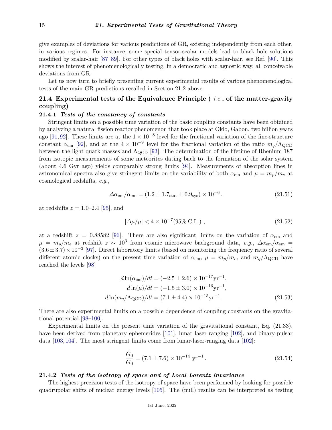give examples of deviations for various predictions of GR, existing independently from each other, in various regimes. For instance, some special tensor-scalar models lead to black hole solutions modified by scalar-hair [\[87–](#page-24-1)[89\]](#page-24-2). For other types of black holes with scalar-hair, see Ref. [\[90\]](#page-24-3). This shows the interest of phenomenologically testing, in a democratic and agnostic way, all conceivable deviations from GR.

Let us now turn to briefly presenting current experimental results of various phenomenological tests of the main GR predictions recalled in Section 21.2 above.

# **21.4 Experimental tests of the Equivalence Principle (** *i.e.***, of the matter-gravity coupling)**

# **21.4.1** *Tests of the constancy of constants*

Stringent limits on a possible time variation of the basic coupling constants have been obtained by analyzing a natural fission reactor phenomenon that took place at Oklo, Gabon, two billion years ago [\[91,](#page-24-4) [92\]](#page-24-5). These limits are at the  $1 \times 10^{-8}$  level for the fractional variation of the fine-structure constant  $\alpha_{em}$  [\[92\]](#page-24-5), and at the  $4 \times 10^{-9}$  level for the fractional variation of the ratio  $m_q/\Lambda_{\rm QCD}$ between the light quark masses and  $\Lambda_{\rm QCD}$  [\[93\]](#page-24-6). The determination of the lifetime of Rhenium 187 from isotopic measurements of some meteorites dating back to the formation of the solar system (about 4*.*6 Gyr ago) yields comparably strong limits [\[94\]](#page-24-7). Measurements of absorption lines in astronomical spectra also give stringent limits on the variability of both  $\alpha_{em}$  and  $\mu = m_p/m_e$  at cosmological redshifts, *e.g.*,

$$
\Delta \alpha_{\rm em} / \alpha_{\rm em} = (1.2 \pm 1.7_{\rm stat} \pm 0.9_{\rm sys}) \times 10^{-6}, \tag{21.51}
$$

at redshifts  $z = 1.0{\text -}2.4$  [\[95\]](#page-24-8), and

$$
|\Delta \mu/\mu| < 4 \times 10^{-7} (95\% \text{ C.L.}), \qquad (21.52)
$$

at a redshift  $z = 0.88582$  [\[96\]](#page-24-9). There are also significant limits on the variation of  $\alpha_{\rm em}$  and  $\mu = m_p/m_e$  at redshift  $z \sim 10^3$  from cosmic microwave background data, *e.g.*,  $\Delta \alpha_{em}/\alpha_{em}$  =  $(3.6 \pm 3.7) \times 10^{-3}$  [\[97\]](#page-24-10). Direct laboratory limits (based on monitoring the frequency ratio of several different atomic clocks) on the present time variation of  $\alpha_{em}$ ,  $\mu = m_p/m_e$ , and  $m_q/\Lambda_{\rm QCD}$  have reached the levels [\[98\]](#page-24-11)

$$
d\ln(\alpha_{\rm em})/dt = (-2.5 \pm 2.6) \times 10^{-17} \text{yr}^{-1},
$$
  
\n
$$
d\ln(\mu)/dt = (-1.5 \pm 3.0) \times 10^{-16} \text{yr}^{-1},
$$
  
\n
$$
d\ln(m_q/\Lambda_{\rm QCD})/dt = (7.1 \pm 4.4) \times 10^{-15} \text{yr}^{-1}.
$$
\n(21.53)

There are also experimental limits on a possible dependence of coupling constants on the gravitational potential [\[98](#page-24-11)[–100\]](#page-24-12).

Experimental limits on the present time variation of the gravitational constant, Eq. (21.33), have been derived from planetary ephemerides [\[101\]](#page-24-13), lunar laser ranging [\[102\]](#page-24-14), and binary-pulsar data [\[103,](#page-24-15) [104\]](#page-24-16). The most stringent limits come from lunar-laser-ranging data [\[102\]](#page-24-14):

$$
\frac{\dot{G}_0}{G_0} = (7.1 \pm 7.6) \times 10^{-14} \text{ yr}^{-1}.
$$
\n(21.54)

# **21.4.2** *Tests of the isotropy of space and of Local Lorentz invariance*

The highest precision tests of the isotropy of space have been performed by looking for possible quadrupolar shifts of nuclear energy levels [\[105\]](#page-24-17). The (null) results can be interpreted as testing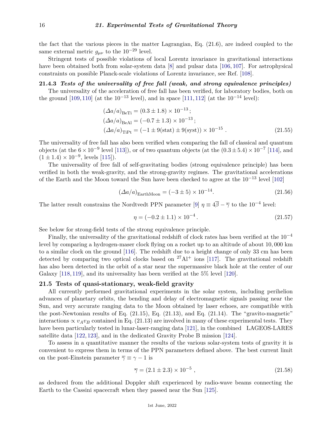the fact that the various pieces in the matter Lagrangian, Eq. (21.6), are indeed coupled to the same external metric  $q_{\mu\nu}$  to the 10<sup>-29</sup> level.

Stringent tests of possible violations of local Lorentz invariance in gravitational interactions have been obtained both from solar-system data [\[8\]](#page-21-7) and pulsar data [\[106,](#page-24-18) [107\]](#page-24-19). For astrophysical constraints on possible Planck-scale violations of Lorentz invariance, see Ref. [\[108\]](#page-24-20).

# **21.4.3** *Tests of the universality of free fall (weak, and strong equivalence principles)*

The universality of the acceleration of free fall has been verified, for laboratory bodies, both on the ground [\[109,](#page-24-21) [110\]](#page-24-22) (at the 10<sup>-13</sup> level), and in space [\[111,](#page-24-23) [112\]](#page-24-24) (at the 10<sup>-14</sup> level):

$$
(\Delta a/a)_{\text{BeTi}} = (0.3 \pm 1.8) \times 10^{-13};
$$
  
\n
$$
(\Delta a/a)_{\text{BeAl}} = (-0.7 \pm 1.3) \times 10^{-13};
$$
  
\n
$$
(\Delta a/a)_{\text{TiPt}} = (-1 \pm 9(\text{stat}) \pm 9(\text{syst})) \times 10^{-15}.
$$
 (21.55)

The universality of free fall has also been verified when comparing the fall of classical and quantum objects (at the  $6 \times 10^{-9}$  level [\[113\]](#page-24-25)), or of two quantum objects (at the  $(0.3 \pm 5.4) \times 10^{-7}$  [\[114\]](#page-24-26), and  $(1 \pm 1.4) \times 10^{-9}$ , levels [\[115\]](#page-24-27)).

The universality of free fall of self-gravitating bodies (strong equivalence principle) has been verified in both the weak-gravity, and the strong-gravity regimes. The gravitational accelerations of the Earth and the Moon toward the Sun have been checked to agree at the 10−<sup>13</sup> level [\[102\]](#page-24-14)

$$
(\Delta a/a)_{\text{EarthMoon}} = (-3 \pm 5) \times 10^{-14}.
$$
 (21.56)

The latter result constrains the Nordtvedt PPN parameter [\[9\]](#page-21-8)  $\eta \equiv 4\overline{\beta} - \overline{\gamma}$  to the 10<sup>-4</sup> level:

$$
\eta = (-0.2 \pm 1.1) \times 10^{-4} \,. \tag{21.57}
$$

See below for strong-field tests of the strong equivalence principle.

Finally, the universality of the gravitational redshift of clock rates has been verified at the  $10^{-4}$ level by comparing a hydrogen-maser clock flying on a rocket up to an altitude of about 10*,* 000 km to a similar clock on the ground [\[116\]](#page-25-0). The redshift due to a height change of only 33 cm has been detected by comparing two optical clocks based on  $27\text{Al}^+$  ions [\[117\]](#page-25-1). The gravitational redshift has also been detected in the orbit of a star near the supermassive black hole at the center of our Galaxy [\[118,](#page-25-2) [119\]](#page-25-3), and its universality has been verified at the 5% level [\[120\]](#page-25-4).

# **21.5 Tests of quasi-stationary, weak-field gravity**

All currently performed gravitational experiments in the solar system, including perihelion advances of planetary orbits, the bending and delay of electromagnetic signals passing near the Sun, and very accurate ranging data to the Moon obtained by laser echoes, are compatible with the post-Newtonian results of Eq. (21.15), Eq. (21.13), and Eq. (21.14). The "gravito-magnetic" interactions  $\propto v_A v_B$  contained in Eq. (21.13) are involved in many of these experimental tests. They have been particularly tested in lunar-laser-ranging data [\[121\]](#page-25-5), in the combined LAGEOS-LARES satellite data [\[122,](#page-25-6) [123\]](#page-25-7), and in the dedicated Gravity Probe B mission [\[124\]](#page-25-8).

To assess in a quantitative manner the results of the various solar-system tests of gravity it is convenient to express them in terms of the PPN parameters defined above. The best current limit on the post-Einstein parameter  $\overline{\gamma} \equiv \gamma - 1$  is

$$
\overline{\gamma} = (2.1 \pm 2.3) \times 10^{-5} , \qquad (21.58)
$$

as deduced from the additional Doppler shift experienced by radio-wave beams connecting the Earth to the Cassini spacecraft when they passed near the Sun [\[125\]](#page-25-9).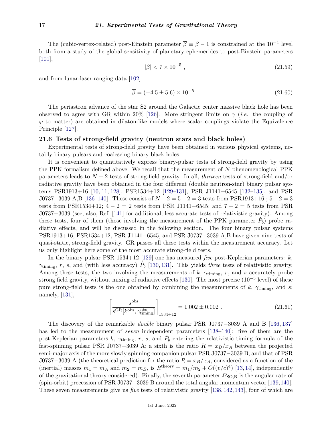The (cubic-vertex-related) post-Einstein parameter  $\bar{\beta} \equiv \beta - 1$  is constrained at the 10<sup>-4</sup> level both from a study of the global sensitivity of planetary ephemerides to post-Einstein parameters [\[101\]](#page-24-13),

$$
|\overline{\beta}| < 7 \times 10^{-5} \tag{21.59}
$$

and from lunar-laser-ranging data [\[102\]](#page-24-14)

$$
\overline{\beta} = (-4.5 \pm 5.6) \times 10^{-5} . \tag{21.60}
$$

The periastron advance of the star S2 around the Galactic center massive black hole has been observed to agree with GR within 20% [\[126\]](#page-25-10). More stringent limits on  $\overline{\gamma}$  (*i.e.* the coupling of  $\varphi$  to matter) are obtained in dilaton-like models where scalar couplings violate the Equivalence Principle [\[127\]](#page-25-11).

## **21.6 Tests of strong-field gravity (neutron stars and black holes)**

Experimental tests of strong-field gravity have been obtained in various physical systems, notably binary pulsars and coalescing binary black holes.

It is convenient to quantitatively express binary-pulsar tests of strong-field gravity by using the PPK formalism defined above. We recall that the measurement of *N* phenomenological PPK parameters leads to *N* − 2 tests of strong-field gravity. In all, *thirteen* tests of strong-field and/or radiative gravity have been obtained in the four different (double neutron-star) binary pulsar systems PSR1913+16 [\[10,](#page-21-9) [11,](#page-21-10) [128\]](#page-25-12), PSR1534+12 [\[129–](#page-25-13)[131\]](#page-25-14), PSR J1141−6545 [\[132](#page-25-15)[–135\]](#page-25-16), and PSR J0737−3039 A,B [\[136–](#page-25-17)[140\]](#page-25-18). These consist of *N* − 2 = 5 − 2 = 3 tests from PSR1913+16 ; 5 − 2 = 3 tests from PSR1534+12;  $4 - 2 = 2$  tests from PSR J1141–6545; and  $7 - 2 = 5$  tests from PSR J0737−3039 (see, also, Ref. [\[141\]](#page-25-19) for additional, less accurate tests of relativistic gravity). Among these tests, four of them (those involving the measurement of the PPK parameter  $\dot{P}_b$ ) probe radiative effects, and will be discussed in the following section. The four binary pulsar systems PSR1913+16, PSR1534+12, PSR J1141−6545, and PSR J0737−3039 A,B have given nine tests of quasi-static, strong-field gravity. GR passes all these tests within the measurement accuracy. Let us only highlight here some of the most accurate strong-field tests.

In the binary pulsar PSR 1534+12 [\[129\]](#page-25-13) one has measured *five* post-Keplerian parameters: *k*,  $\gamma_{\text{tuning}}$ , *r*, *s*, and (with less accuracy)  $\dot{P}_b$  [\[130,](#page-25-20) [131\]](#page-25-14). This yields *three* tests of relativistic gravity. Among these tests, the two involving the measurements of *k*, *γ*timing, *r*, and *s* accurately probe strong field gravity, without mixing of radiative effects [\[130\]](#page-25-20). The most precise  $(10^{-3}$  level) of these pure strong-field tests is the one obtained by combining the measurements of  $k$ ,  $\gamma_{\text{tuning}}$ , and *s*; namely, [\[131\]](#page-25-14),

$$
\left[\frac{s^{\text{obs}}}{s^{\text{GR}}[k^{\text{obs}}, \gamma^{\text{obs}}_{\text{timing}}]}\right]_{1534+12} = 1.002 \pm 0.002 .
$$
 (21.61)

The discovery of the remarkable *double* binary pulsar PSR J0737−3039 A and B [\[136,](#page-25-17) [137\]](#page-25-21) has led to the measurement of *seven* independent parameters [\[138](#page-25-22)[–140\]](#page-25-18): five of them are the post-Keplerian parameters  $k$ ,  $\gamma$ <sub>timing</sub>,  $r$ ,  $s$ , and  $\dot{P}_b$  entering the relativistic timing formula of the fast-spinning pulsar PSR J0737−3039 A; a sixth is the ratio  $R = x_B/x_A$  between the projected semi-major axis of the more slowly spinning companion pulsar PSR J0737−3039 B, and that of PSR J0737−3039 A (the theoretical prediction for the ratio  $R = x_B/x_A$ , considered as a function of the (inertial) masses  $m_1 = m_A$  and  $m_2 = m_B$ , is  $R^{\text{theory}} = m_1/m_2 + O((v/c)^4)$  [\[13,](#page-21-12) [14\]](#page-21-13), independently of the gravitational theory considered). Finally, the seventh parameter  $\Omega_{\text{SO},B}$  is the angular rate of (spin-orbit) precession of PSR J0737−3039 B around the total angular momentum vector [\[139,](#page-25-23)[140\]](#page-25-18). These seven measurements give us *five* tests of relativistic gravity [\[138,](#page-25-22) [142,](#page-25-24) [143\]](#page-25-25), four of which are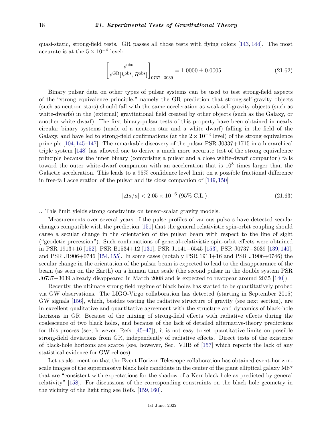quasi-static, strong-field tests. GR passes all those tests with flying colors [\[143,](#page-25-25) [144\]](#page-25-26). The most accurate is at the  $5 \times 10^{-4}$  level:

$$
\left[\frac{s^{\text{obs}}}{s^{\text{GR}}[k^{\text{obs}}, R^{\text{obs}}]}\right]_{0737 - 3039} = 1.0000 \pm 0.0005 .
$$
 (21.62)

Binary pulsar data on other types of pulsar systems can be used to test strong-field aspects of the "strong equivalence principle," namely the GR prediction that strong-self-gravity objects (such as neutron stars) should fall with the same acceleration as weak-self-gravity objects (such as white-dwarfs) in the (external) gravitational field created by other objects (such as the Galaxy, or another white dwarf). The first binary-pulsar tests of this property have been obtained in nearly circular binary systems (made of a neutron star and a white dwarf) falling in the field of the Galaxy, and have led to strong-field confirmations (at the  $2 \times 10^{-3}$  level) of the strong equivalence principle [\[104,](#page-24-16)[145–](#page-25-27)[147\]](#page-25-28). The remarkable discovery of the pulsar PSR J0337+1715 in a hierarchical triple system [\[148\]](#page-25-29) has allowed one to derive a much more accurate test of the strong equivalence principle because the inner binary (comprising a pulsar and a close white-dwarf companion) falls toward the outer white-dwarf companion with an acceleration that is  $10^8$  times larger than the Galactic acceleration. This leads to a 95% confidence level limit on a possible fractional difference in free-fall acceleration of the pulsar and its close companion of [\[149,](#page-25-30) [150\]](#page-25-31)

$$
|\Delta a/a| < 2.05 \times 10^{-6} \text{ (95\% C.L.)}.
$$
\n(21.63)

.. This limit yields strong constraints on tensor-scalar gravity models.

Measurements over several years of the pulse profiles of various pulsars have detected secular changes compatible with the prediction [\[151\]](#page-26-0) that the general relativistic spin-orbit coupling should cause a secular change in the orientation of the pulsar beam with respect to the line of sight ("geodetic precession"). Such confirmations of general-relativistic spin-orbit effects were obtained in PSR 1913+16 [\[152\]](#page-26-1), PSR B1534+12 [\[131\]](#page-25-14), PSR J1141−6545 [\[153\]](#page-26-2), PSR J0737−3039 [\[139,](#page-25-23) [140\]](#page-25-18), and PSR J1906+0746 [\[154,](#page-26-3) [155\]](#page-26-4). In some cases (notably PSR 1913+16 and PSR J1906+0746) the secular change in the orientation of the pulsar beam is expected to lead to the disappearance of the beam (as seen on the Earth) on a human time scale (the second pulsar in the double system PSR J0737−3039 already disappeared in March 2008 and is expected to reappear around 2035 [\[140\]](#page-25-18)).

Recently, the ultimate strong-field regime of black holes has started to be quantitatively probed via GW observations. The LIGO-Virgo collaboration has detected (starting in September 2015) GW signals [\[156\]](#page-26-5), which, besides testing the radiative structure of gravity (see next section), are in excellent qualitative and quantitative agreement with the structure and dynamics of black-hole horizons in GR. Because of the mixing of strong-field effects with radiative effects during the coalescence of two black holes, and because of the lack of detailed alternative-theory predictions for this process (see, however, Refs.  $[45-47]$  $[45-47]$ ), it is not easy to set quantitative limits on possible strong-field deviations from GR, independently of radiative effects. Direct tests of the existence of black-hole horizons are scarce (see, however, Sec. VIIB of [\[157\]](#page-26-6) which reports the lack of any statistical evidence for GW echoes).

Let us also mention that the Event Horizon Telescope collaboration has obtained event-horizonscale images of the supermassive black hole candidate in the center of the giant elliptical galaxy M87 that are "consistent with expectations for the shadow of a Kerr black hole as predicted by general relativity" [\[158\]](#page-26-7). For discussions of the corresponding constraints on the black hole geometry in the vicinity of the light ring see Refs. [\[159,](#page-26-8) [160\]](#page-26-9).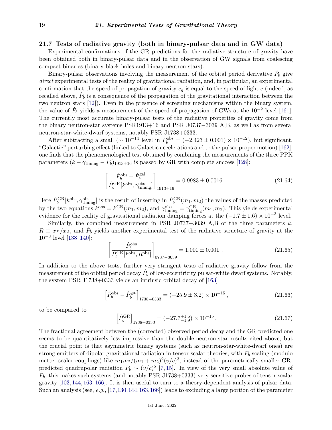# **21.7 Tests of radiative gravity (both in binary-pulsar data and in GW data)**

Experimental confirmations of the GR predictions for the radiative structure of gravity have been obtained both in binary-pulsar data and in the observation of GW signals from coalescing compact binaries (binary black holes and binary neutron stars).

Binary-pulsar observations involving the measurement of the orbital period derivative  $\dot{P}_b$  give *direct* experimental tests of the reality of gravitational radiation, and, in particular, an experimental confirmation that the speed of propagation of gravity  $c_g$  is equal to the speed of light  $c$  (indeed, as recalled above,  $\dot{P}_b$  is a consequence of the propagation of the gravitational interaction between the two neutron stars [\[12\]](#page-21-11)). Even in the presence of screening mechanisms within the binary system, the value of  $\dot{P}_b$  yields a measurement of the speed of propagation of GWs at the 10<sup>-2</sup> level [\[161\]](#page-26-10). The currently most accurate binary-pulsar tests of the radiative properties of gravity come from the binary neutron-star systems PSR1913+16 and PSR J0737−3039 A,B, as well as from several neutron-star-white-dwarf systems, notably PSR J1738+0333.

After subtracting a small ( $\sim 10^{-14}$  level in  $\dot{P}_b^{\text{obs}} = (-2.423 \pm 0.001) \times 10^{-12}$ ), but significant, "Galactic" perturbing effect (linked to Galactic accelerations and to the pulsar proper motion) [\[162\]](#page-26-11), one finds that the phenomenological test obtained by combining the measurements of the three PPK parameters  $(k - \gamma_{\text{tuning}} - \dot{P}_b)_{1913+16}$  is passed by GR with complete success [\[128\]](#page-25-12):

$$
\left[\frac{\dot{P}_b^{\text{obs}} - \dot{P}_b^{\text{gal}}}{\dot{P}_b^{\text{GR}}[k^{\text{obs}}, \gamma_{\text{timing}}^{\text{obs}}]}\right]_{1913+16} = 0.9983 \pm 0.0016 . \tag{21.64}
$$

Here  $\dot{P}_b^{\text{GR}}[k^{\text{obs}}, \gamma_{\text{tuning}}^{\text{obs}}]$  is the result of inserting in  $\dot{P}_b^{\text{GR}}(m_1, m_2)$  the values of the masses predicted by the two equations  $k^{\text{obs}} = k^{\text{GR}}(m_1, m_2)$ , and  $\gamma^{\text{obs}}_{\text{timing}} = \gamma^{\text{GR}}_{\text{timing}}(m_1, m_2)$ . This yields experimental evidence for the reality of gravitational radiation damping forces at the  $(-1.7 \pm 1.6) \times 10^{-3}$  level.

Similarly, the combined measurement in PSR J0737−3039 A,B of the three parameters *k*,  $R \equiv x_B/x_A$ , and  $\dot{P}_b$  yields another experimental test of the radiative structure of gravity at the 10−<sup>3</sup> level [\[138–](#page-25-22)[140\]](#page-25-18):

$$
\left[\frac{\dot{P}_b^{\text{obs}}}{\dot{P}_b^{\text{GR}}[k^{\text{obs}}, R^{\text{obs}}]}\right]_{0737-3039} = 1.000 \pm 0.001 . \tag{21.65}
$$

In addition to the above tests, further very stringent tests of radiative gravity follow from the measurement of the orbital period decay  $\dot{P}_b$  of low-eccentricity pulsar-white dwarf systems. Notably, the system PSR J1738+0333 yields an intrinsic orbital decay of [\[163\]](#page-26-12)

$$
\left[\dot{P}_b^{\text{obs}} - \dot{P}_b^{\text{gal}}\right]_{1738 + 0333} = (-25.9 \pm 3.2) \times 10^{-15},\tag{21.66}
$$

to be compared to

$$
\left[\dot{P}_b^{\text{GR}}\right]_{1738+0333} = (-27.7^{+1.5}_{-1.9}) \times 10^{-15} \,. \tag{21.67}
$$

The fractional agreement between the (corrected) observed period decay and the GR-predicted one seems to be quantitatively less impressive than the double-neutron-star results cited above, but the crucial point is that asymmetric binary systems (such as neutron-star-white-dwarf ones) are strong emitters of dipolar gravitational radiation in tensor-scalar theories, with  $\dot{P}_b$  scaling (modulo matter-scalar couplings) like  $m_1 m_2/(m_1 + m_2)^2 (v/c)^3$ , instead of the parametrically smaller GRpredicted quadrupolar radiation  $\dot{P}_b \sim (v/c)^5$  [\[7,](#page-21-6) [15\]](#page-21-14). In view of the very small absolute value of  $\dot{P}_b$ , this makes such systems (and notably PSR J1738+0333) very sensitive probes of tensor-scalar gravity [\[103,](#page-24-15) [144,](#page-25-26) [163–](#page-26-12)[166\]](#page-26-13). It is then useful to turn to a theory-dependent analysis of pulsar data. Such an analysis (see, *e.g.*, [\[17,](#page-21-15)[130,](#page-25-20)[144,](#page-25-26)[163,](#page-26-12)[166\]](#page-26-13)) leads to excluding a large portion of the parameter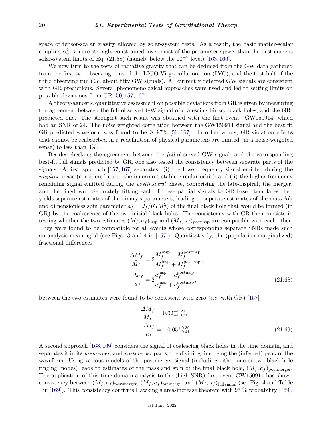space of tensor-scalar gravity allowed by solar-system tests. As a result, the basic matter-scalar coupling  $\alpha_0^2$  is more strongly constrained, over most of the parameter space, than the best current solar-system limits of Eq.  $(21.58)$  (namely below the  $10^{-5}$  level) [\[163,](#page-26-12)[166\]](#page-26-13).

We now turn to the tests of radiative gravity that can be deduced from the GW data gathered from the first two observing runs of the LIGO-Virgo collaboration (LVC), and the first half of the third observing run (*i.e.* about fifty GW signals). All currently detected GW signals are consistent with GR predictions. Several phenomenological approaches were used and led to setting limits on possible deviations from GR [\[50,](#page-23-0) [157,](#page-26-6) [167\]](#page-26-14).

A theory-agnostic quantitative assessment on possible deviations from GR is given by measuring the agreement between the full observed GW signal of coalescing binary black holes, and the GRpredicted one. The strongest such result was obtained with the first event: GW150914, which had an SNR of 24. The noise-weighted correlation between the GW150914 signal and the best-fit GR-predicted waveform was found to be  $\geq 97\%$  [\[50,](#page-23-0) [167\]](#page-26-14). In other words, GR-violation effects that cannot be reabsorbed in a redefinition of physical parameters are limited (in a noise-weighted sense) to less than 3%.

Besides checking the agreement between the *full* observed GW signals and the corresponding best-fit full signals predicted by GR, one also tested the consistency between separate parts of the signals. A first approach [\[157,](#page-26-6) [167\]](#page-26-14) separates: (i) the lower-frequency signal emitted during the *inspiral* phase (considered up to the innermost stable circular orbit); and (ii) the higher-frequency remaining signal emitted during the *postinspiral* phase, comprising the late-inspiral, the merger, and the ringdown. Separately fitting each of these partial signals to GR-based templates then yields separate estimates of the binary's parameters, leading to separate estimates of the mass *M<sup>f</sup>* and dimensionless spin parameter  $a_f = J_f/(GM_f^2)$  of the final black hole that would be formed (in GR) by the coalescence of the two initial black holes. The consistency with GR then consists in testing whether the two estimates  $(M_f, a_f)_{\text{insp}}$  and  $(M_f, a_f)_{\text{postinsp}}$  are compatible with each other. They were found to be compatible for all events whose corresponding separate SNRs made such an analysis meaningful (see Figs. 3 and 4 in [\[157\]](#page-26-6)). Quantitatively, the (population-marginalized) fractional differences

$$
\frac{\Delta M_f}{\bar{M}_f} = 2 \frac{M_f^{\text{insp}} - M_f^{\text{postinsp}}}{M_f^{\text{insp}} + M_f^{\text{postinsp}}},
$$
\n
$$
\frac{\Delta a_f}{\bar{a}_f} = 2 \frac{a_f^{\text{insp}} - a_f^{\text{postinsp}}}{a_f^{\text{insp}} + a_f^{\text{postinsp}}},
$$
\n(21.68)

between the two estimates were found to be consistent with zero (*i.e.* with GR) [\[157\]](#page-26-6)

$$
\frac{\Delta M_f}{\bar{M}_f} = 0.02^{+0.20}_{-0.17},
$$
\n
$$
\frac{\Delta a_f}{\bar{a}_f} = -0.05^{+0.36}_{-0.41}.
$$
\n(21.69)

A second approach [\[168,](#page-26-15)[169\]](#page-26-16) considers the signal of coalescing black holes in the time domain, and separates it in its *premerger*, and *postmerger* parts, the dividing line being the (inferred) peak of the waveform. Using various models of the postmerger signal (including either one or two black-hole ringing modes) leads to estimates of the mass and spin of the final black hole,  $(M_f, a_f)$ <sub>postmerger</sub>. The application of this time-domain analysis to the (high SNR) first event GW150914 has shown consistency between  $(M_f, a_f)_{\text{postmerger}}, (M_f, a_f)_{\text{premerger}}$  and  $(M_f, a_f)_{\text{full signal}}$  (see Fig. 4 and Table I in [\[169\]](#page-26-16)). This consistency confirms Hawking's area-increase theorem with 97 % probability [\[169\]](#page-26-16).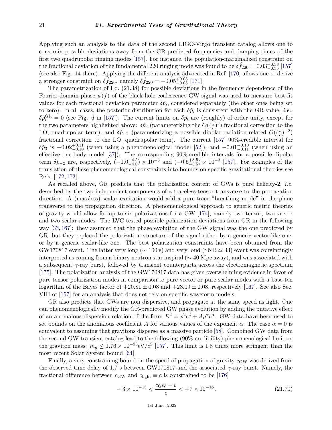Applying such an analysis to the data of the second LIGO-Virgo transient catalog allows one to constrain possible deviations away from the GR-predicted frequencies and damping times of the first two quadrupolar ringing modes [\[157\]](#page-26-6). For instance, the population-marginalized constraint on the fractional deviation of the fundamental 220 ringing mode was found to be  $\delta \hat{f}_{220} = 0.03_{-0.35}^{+0.38}$  [\[157\]](#page-26-6) (see also Fig. 14 there). Applying the different analysis advocated in Ref. [\[170\]](#page-26-17) allows one to derive a stronger constraint on  $\delta \hat{f}_{220}$ , namely  $\delta \hat{f}_{220} = -0.05_{-0.05}^{+0.05}$  [\[171\]](#page-26-18).

The parametrization of Eq. (21.38) for possible deviations in the frequency dependence of the Fourier-domain phase  $\psi(f)$  of the black hole coalescence GW signal was used to measure best-fit values for each fractional deviation parameter  $\delta \hat{p}_i$ , considered separately (the other ones being set to zero). In all cases, the posterior distribution for each  $\delta \hat{p}_i$  is consistent with the GR value, *i.e.*,  $\delta \hat{p}_i^{\text{GR}} = 0$  (see Fig. 6 in [\[157\]](#page-26-6)). The current limits on  $\delta \hat{p}_i$  are (roughly) of order unity, except for the two parameters highlighted above:  $\delta \hat{p}_3$  (parameterizing the  $O((\frac{v}{c})^3)$  fractional correction to the LO, quadrupolar term); and  $\delta \hat{p}_{-2}$  (parameterizing a possible dipolar-radiation-related  $O((\frac{v}{c})^{-2})$ fractional correction to the LO, quadrupolar term). The current [\[157\]](#page-26-6) 90%-credible interval for  $\delta \hat{p}_3$  is  $-0.02_{-0.10}^{+0.11}$  (when using a phenomenological model [\[52\]](#page-23-2)), and  $-0.01_{-0.11}^{+0.10}$  (when using an effective one-body model [\[37\]](#page-22-10)). The corresponding 90%-credible intervals for a possible dipolar term  $\delta \hat{p}_{-2}$  are, respectively,  $(-1.0^{+4.5}_{-4.0}) \times 10^{-3}$  and  $(-0.5^{+3.5}_{-3.5}) \times 10^{-3}$  [\[157\]](#page-26-6). For examples of the translation of these phenomenological constraints into bounds on specific gravitational theories see Refs. [\[172,](#page-26-19) [173\]](#page-26-20).

As recalled above, GR predicts that the polarization content of GWs is pure helicity-2, *i.e.* described by the two independent components of a traceless tensor transverse to the propagation direction. A (massless) scalar excitation would add a pure-trace "breathing mode" in the plane transverse to the propagation direction. A phenomenological approach to generic metric theories of gravity would allow for up to six polarizations for a GW [\[174\]](#page-26-21), namely two tensor, two vector and two scalar modes. The LVC tested possible polarization deviations from GR in the following way [\[33,](#page-22-19) [167\]](#page-26-14): they assumed that the phase evolution of the GW signal was the one predicted by GR, but they replaced the polarization structure of the signal either by a generic vector-like one, or by a generic scalar-like one. The best polarization constraints have been obtained from the GW170817 event. The latter very long ( $\sim$  100 s) and very loud (SNR  $\simeq$  33) event was convincingly interpreted as coming from a binary neutron star inspiral (∼ 40 Mpc away), and was associated with a subsequent  $\gamma$ -ray burst, followed by transient counterparts across the electromagnetic spectrum [\[175\]](#page-26-22). The polarization analysis of the GW170817 data has given overwhelming evidence in favor of pure tensor polarization modes in comparison to pure vector or pure scalar modes with a base-ten logarithm of the Bayes factor of  $+20.81 \pm 0.08$  and  $+23.09 \pm 0.08$ , respectively [\[167\]](#page-26-14). See also Sec. VIII of [\[157\]](#page-26-6) for an analysis that does not rely on specific waveform models.

GR also predicts that GWs are non dispersive, and propagate at the same speed as light. One can phenomenologically modify the GR-predicted GW phase evolution by adding the putative effect of an anomalous dispersion relation of the form  $E^2 = p^2c^2 + Ap^{\alpha}c^{\alpha}$ . GW data have been used to set bounds on the anomalous coefficient *A* for various values of the exponent *α*. The case  $\alpha = 0$  is equivalent to assuming that gravitons disperse as a massive particle [\[58\]](#page-23-8). Combined GW data from the second GW transient catalog lead to the following (90%-credibility) phenomenological limit on the graviton mass:  $m_g \leq 1.76 \times 10^{-23}$  eV/ $c^2$  [\[157\]](#page-26-6). This limit is 1.8 times more stringent than the most recent Solar System bound [\[64\]](#page-23-11).

Finally, a very constraining bound on the speed of propagation of gravity  $c_{GW}$  was derived from the observed time delay of 1*.*7 s between GW170817 and the associated *γ*-ray burst. Namely, the fractional difference between  $c_{GW}$  and  $c_{light} \equiv c$  is constrained to be [\[176\]](#page-26-23)

$$
-3 \times 10^{-15} < \frac{c_{\text{GW}} - c}{c} < +7 \times 10^{-16} \,. \tag{21.70}
$$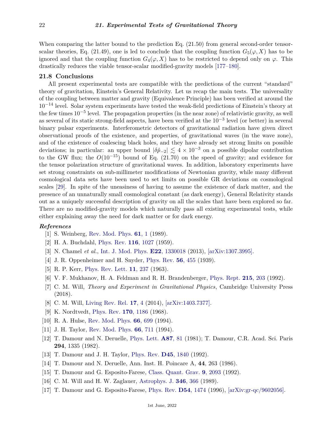When comparing the latter bound to the prediction Eq.  $(21.50)$  from general second-order tensorscalar theories, Eq. (21.49), one is led to conclude that the coupling function  $G_5(\varphi, X)$  has to be ignored and that the coupling function  $G_4(\varphi, X)$  has to be restricted to depend only on  $\varphi$ . This drastically reduces the viable tensor-scalar modified-gravity models [\[177–](#page-26-24)[180\]](#page-26-25).

## **21.8 Conclusions**

All present experimental tests are compatible with the predictions of the current "standard" theory of gravitation, Einstein's General Relativity. Let us recap the main tests. The universality of the coupling between matter and gravity (Equivalence Principle) has been verified at around the  $10^{-14}$  level. Solar system experiments have tested the weak-field predictions of Einstein's theory at the few times 10−<sup>5</sup> level. The propagation properties (in the near zone) of relativistic gravity, as well as several of its static strong-field aspects, have been verified at the 10−<sup>3</sup> level (or better) in several binary pulsar experiments. Interferometric detectors of gravitational radiation have given direct observational proofs of the existence, and properties, of gravitational waves (in the wave zone), and of the existence of coalescing black holes, and they have already set strong limits on possible deviations; in particular: an upper bound  $|\delta \hat{p}_-| \lesssim 4 \times 10^{-3}$  on a possible dipolar contribution to the GW flux; the *O*(10−15) bound of Eq. (21.70) on the speed of gravity; and evidence for the tensor polarization structure of gravitational waves. In addition, laboratory experiments have set strong constraints on sub-millimeter modifications of Newtonian gravity, while many different cosmological data sets have been used to set limits on possible GR deviations on cosmological scales [\[29\]](#page-22-5). In spite of the uneasiness of having to assume the existence of dark matter, and the presence of an unnaturally small cosmological constant (as dark energy), General Relativity stands out as a uniquely successful description of gravity on all the scales that have been explored so far. There are no modified-gravity models which naturally pass all existing experimental tests, while either explaining away the need for dark matter or for dark energy.

#### <span id="page-21-0"></span>*References*

- <span id="page-21-1"></span>[1] S. Weinberg, [Rev. Mod. Phys.](http://doi.org/10.1103/RevModPhys.61.1) **[61](http://doi.org/10.1103/RevModPhys.61.1)**, 1 (1989).
- [2] H. A. Buchdahl, [Phys. Rev.](http://doi.org/10.1103/PhysRev.116.1027) **116**[, 1027](http://doi.org/10.1103/PhysRev.116.1027) (1959).
- <span id="page-21-2"></span>[3] N. Chamel *et al.*, [Int. J. Mod. Phys.](http://doi.org/10.1142/S021830131330018X) **E22**[, 1330018](http://doi.org/10.1142/S021830131330018X) (2013), [\[arXiv:1307.3995\].](https://arxiv.org/abs/1307.3995)
- <span id="page-21-3"></span>[4] J. R. Oppenheimer and H. Snyder, [Phys. Rev.](http://doi.org/10.1103/PhysRev.56.455) **56**[, 455](http://doi.org/10.1103/PhysRev.56.455) (1939).
- <span id="page-21-4"></span>[5] R. P. Kerr, [Phys. Rev. Lett.](http://doi.org/10.1103/PhysRevLett.11.237) **11**[, 237](http://doi.org/10.1103/PhysRevLett.11.237) (1963).
- <span id="page-21-5"></span>[6] V. F. Mukhanov, H. A. Feldman and R. H. Brandenberger, [Phys. Rept.](http://doi.org/10.1016/0370-1573(92)90044-Z) **215**[, 203](http://doi.org/10.1016/0370-1573(92)90044-Z) (1992).
- <span id="page-21-6"></span>[7] C. M. Will, *Theory and Experiment in Gravitational Physics*, Cambridge University Press (2018).
- <span id="page-21-7"></span>[8] C. M. Will, [Living Rev. Rel.](http://doi.org/10.12942/lrr-2014-4) **[17](http://doi.org/10.12942/lrr-2014-4)**, 4 (2014), [\[arXiv:1403.7377\].](https://arxiv.org/abs/1403.7377)
- <span id="page-21-8"></span>[9] K. Nordtvedt, [Phys. Rev.](http://doi.org/10.1103/PhysRev.170.1186) **170**[, 1186](http://doi.org/10.1103/PhysRev.170.1186) (1968).
- <span id="page-21-9"></span>[10] R. A. Hulse, [Rev. Mod. Phys.](http://doi.org/10.1103/RevModPhys.66.699) **66**[, 699](http://doi.org/10.1103/RevModPhys.66.699) (1994).
- <span id="page-21-10"></span>[11] J. H. Taylor, [Rev. Mod. Phys.](http://doi.org/10.1103/RevModPhys.66.711) **66**[, 711](http://doi.org/10.1103/RevModPhys.66.711) (1994).
- <span id="page-21-11"></span>[12] T. Damour and N. Deruelle, [Phys. Lett.](http://doi.org/10.1016/0375-9601(81)90567-3) **[A87](http://doi.org/10.1016/0375-9601(81)90567-3)**, 81 (1981); T. Damour, C.R. Acad. Sci. Paris **294**, 1335 (1982).
- <span id="page-21-12"></span>[13] T. Damour and J. H. Taylor, [Phys. Rev.](http://doi.org/10.1103/PhysRevD.45.1840) **D45**[, 1840](http://doi.org/10.1103/PhysRevD.45.1840) (1992).
- <span id="page-21-13"></span>[14] T. Damour and N. Deruelle, Ann. Inst. H. Poincare A, **44**, 263 (1986).
- <span id="page-21-14"></span>[15] T. Damour and G. Esposito-Farese, [Class. Quant. Grav.](http://doi.org/10.1088/0264-9381/9/9/015) **9**[, 2093](http://doi.org/10.1088/0264-9381/9/9/015) (1992).
- [16] C. M. Will and H. W. Zaglauer, [Astrophys. J.](http://doi.org/10.1086/168016) **346**[, 366](http://doi.org/10.1086/168016) (1989).
- <span id="page-21-15"></span>[17] T. Damour and G. Esposito-Farese, [Phys. Rev.](http://doi.org/10.1103/PhysRevD.54.1474) **D54**[, 1474](http://doi.org/10.1103/PhysRevD.54.1474) (1996), [\[arXiv:gr-qc/9602056\].](https://arxiv.org/abs/gr-qc/9602056)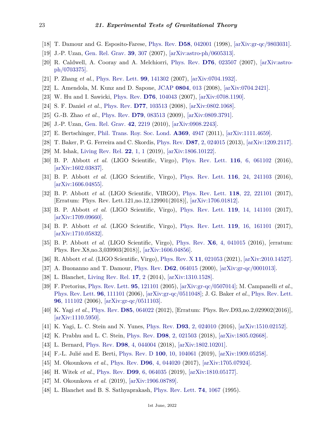- <span id="page-22-0"></span>[18] T. Damour and G. Esposito-Farese, [Phys. Rev.](http://doi.org/10.1103/PhysRevD.58.042001) **D58**[, 042001](http://doi.org/10.1103/PhysRevD.58.042001) (1998), [\[arXiv:gr-qc/9803031\].](https://arxiv.org/abs/gr-qc/9803031)
- <span id="page-22-1"></span>[19] J.-P. Uzan, [Gen. Rel. Grav.](http://doi.org/10.1007/s10714-006-0385-z) **39**[, 307](http://doi.org/10.1007/s10714-006-0385-z) (2007), [\[arXiv:astro-ph/0605313\].](https://arxiv.org/abs/astro-ph/0605313)
- [20] R. Caldwell, A. Cooray and A. Melchiorri, [Phys. Rev.](http://doi.org/10.1103/PhysRevD.76.023507) **D76**[, 023507](http://doi.org/10.1103/PhysRevD.76.023507) (2007), [\[arXiv:astro](https://arxiv.org/abs/astro-ph/0703375)[ph/0703375\].](https://arxiv.org/abs/astro-ph/0703375)
- [21] P. Zhang *et al.*, [Phys. Rev. Lett.](http://doi.org/10.1103/PhysRevLett.99.141302) **99**[, 141302](http://doi.org/10.1103/PhysRevLett.99.141302) (2007), [\[arXiv:0704.1932\].](https://arxiv.org/abs/0704.1932)
- [22] L. Amendola, M. Kunz and D. Sapone, [JCAP](http://doi.org/10.1088/1475-7516/2008/04/013) **[0804](http://doi.org/10.1088/1475-7516/2008/04/013)**, 013 (2008), [\[arXiv:0704.2421\].](https://arxiv.org/abs/0704.2421)
- [23] W. Hu and I. Sawicki, [Phys. Rev.](http://doi.org/10.1103/PhysRevD.76.104043) **D76**[, 104043](http://doi.org/10.1103/PhysRevD.76.104043) (2007), [\[arXiv:0708.1190\].](https://arxiv.org/abs/0708.1190)
- [24] S. F. Daniel *et al.*, [Phys. Rev.](http://doi.org/10.1103/PhysRevD.77.103513) **D77**[, 103513](http://doi.org/10.1103/PhysRevD.77.103513) (2008), [\[arXiv:0802.1068\].](https://arxiv.org/abs/0802.1068)
- <span id="page-22-4"></span>[25] G.-B. Zhao *et al.*, [Phys. Rev.](http://doi.org/10.1103/PhysRevD.79.083513) **D79**[, 083513](http://doi.org/10.1103/PhysRevD.79.083513) (2009), [\[arXiv:0809.3791\].](https://arxiv.org/abs/0809.3791)
- <span id="page-22-3"></span>[26] J.-P. Uzan, [Gen. Rel. Grav.](http://doi.org/10.1007/s10714-010-1047-8) **42**[, 2219](http://doi.org/10.1007/s10714-010-1047-8) (2010), [\[arXiv:0908.2243\].](https://arxiv.org/abs/0908.2243)
- [27] E. Bertschinger, [Phil. Trans. Roy. Soc. Lond.](http://doi.org/10.1098/rsta.2011.0369) **A369**[, 4947](http://doi.org/10.1098/rsta.2011.0369) (2011), [\[arXiv:1111.4659\].](https://arxiv.org/abs/1111.4659)
- <span id="page-22-2"></span>[28] T. Baker, P. G. Ferreira and C. Skordis, [Phys. Rev.](http://doi.org/10.1103/PhysRevD.87.024015) **D87**[, 2, 024015](http://doi.org/10.1103/PhysRevD.87.024015) (2013), [\[arXiv:1209.2117\].](https://arxiv.org/abs/1209.2117)
- <span id="page-22-5"></span>[29] M. Ishak, [Living Rev. Rel.](http://doi.org/10.1007/s41114-018-0017-4) **22**[, 1, 1](http://doi.org/10.1007/s41114-018-0017-4) (2019), [\[arXiv:1806.10122\].](https://arxiv.org/abs/1806.10122)
- <span id="page-22-6"></span>[30] B. P. Abbott *et al.* (LIGO Scientific, Virgo), [Phys. Rev. Lett.](http://doi.org/10.1103/PhysRevLett.116.061102) **116**[, 6, 061102](http://doi.org/10.1103/PhysRevLett.116.061102) (2016), [\[arXiv:1602.03837\].](https://arxiv.org/abs/1602.03837)
- [31] B. P. Abbott *et al.* (LIGO Scientific, Virgo), [Phys. Rev. Lett.](http://doi.org/10.1103/PhysRevLett.116.241103) **116**[, 24, 241103](http://doi.org/10.1103/PhysRevLett.116.241103) (2016), [\[arXiv:1606.04855\].](https://arxiv.org/abs/1606.04855)
- [32] B. P. Abbott *et al.* (LIGO Scientific, VIRGO), [Phys. Rev. Lett.](http://doi.org/10.1103/PhysRevLett.118.221101) **118**[, 22, 221101](http://doi.org/10.1103/PhysRevLett.118.221101) (2017), [Erratum: Phys. Rev. Lett.121,no.12,129901(2018)], [\[arXiv:1706.01812\].](https://arxiv.org/abs/1706.01812)
- <span id="page-22-19"></span>[33] B. P. Abbott *et al.* (LIGO Scientific, Virgo), [Phys. Rev. Lett.](http://doi.org/10.1103/PhysRevLett.119.141101) **119**[, 14, 141101](http://doi.org/10.1103/PhysRevLett.119.141101) (2017), [\[arXiv:1709.09660\].](https://arxiv.org/abs/1709.09660)
- <span id="page-22-7"></span>[34] B. P. Abbott *et al.* (LIGO Scientific, Virgo), [Phys. Rev. Lett.](http://doi.org/10.1103/PhysRevLett.119.161101) **119**[, 16, 161101](http://doi.org/10.1103/PhysRevLett.119.161101) (2017), [\[arXiv:1710.05832\].](https://arxiv.org/abs/1710.05832)
- <span id="page-22-8"></span>[35] B. P. Abbott *et al.* (LIGO Scientific, Virgo), [Phys. Rev.](http://doi.org/10.1103/PhysRevX.6.041015) **X6**[, 4, 041015](http://doi.org/10.1103/PhysRevX.6.041015) (2016), [erratum: Phys. Rev.X8,no.3,039903(2018)], [\[arXiv:1606.04856\].](https://arxiv.org/abs/1606.04856)
- <span id="page-22-9"></span>[36] R. Abbott *et al.* (LIGO Scientific, Virgo), [Phys. Rev. X](http://doi.org/10.1103/PhysRevX.11.021053) **11**[, 021053](http://doi.org/10.1103/PhysRevX.11.021053) (2021), [\[arXiv:2010.14527\].](https://arxiv.org/abs/2010.14527)
- <span id="page-22-10"></span>[37] A. Buonanno and T. Damour, [Phys. Rev.](http://doi.org/10.1103/PhysRevD.62.064015) **D62**[, 064015](http://doi.org/10.1103/PhysRevD.62.064015) (2000), [\[arXiv:gr-qc/0001013\].](https://arxiv.org/abs/gr-qc/0001013)
- <span id="page-22-11"></span>[38] L. Blanchet, [Living Rev. Rel.](http://doi.org/10.12942/lrr-2014-2) **[17](http://doi.org/10.12942/lrr-2014-2)**, 2 (2014), [\[arXiv:1310.1528\].](https://arxiv.org/abs/1310.1528)
- <span id="page-22-12"></span>[39] F. Pretorius, [Phys. Rev. Lett.](http://doi.org/10.1103/PhysRevLett.95.121101) **95**[, 121101](http://doi.org/10.1103/PhysRevLett.95.121101) (2005), [\[arXiv:gr-qc/0507014\];](https://arxiv.org/abs/gr-qc/0507014) M. Campanelli *et al.*, [Phys. Rev. Lett.](http://doi.org/10.1103/PhysRevLett.96.111101) **96**[, 111101](http://doi.org/10.1103/PhysRevLett.96.111101) (2006), [\[arXiv:gr-qc/0511048\];](https://arxiv.org/abs/gr-qc/0511048) J. G. Baker *et al.*, [Phys. Rev. Lett.](http://doi.org/10.1103/PhysRevLett.96.111102) **96**[, 111102](http://doi.org/10.1103/PhysRevLett.96.111102) (2006), [\[arXiv:gr-qc/0511103\].](https://arxiv.org/abs/gr-qc/0511103)
- <span id="page-22-13"></span>[40] K. Yagi *et al.*, [Phys. Rev.](http://doi.org/10.1103/PhysRevD.93.029902) **D85**[, 064022](http://doi.org/10.1103/PhysRevD.93.029902) (2012), [Erratum: Phys. Rev.D93,no.2,029902(2016)], [\[arXiv:1110.5950\].](https://arxiv.org/abs/1110.5950)
- [41] K. Yagi, L. C. Stein and N. Yunes, [Phys. Rev.](http://doi.org/10.1103/PhysRevD.93.024010) **D93**[, 2, 024010](http://doi.org/10.1103/PhysRevD.93.024010) (2016), [\[arXiv:1510.02152\].](https://arxiv.org/abs/1510.02152)
- [42] K. Prabhu and L. C. Stein, [Phys. Rev.](http://doi.org/10.1103/PhysRevD.98.021503) **D98**[, 2, 021503](http://doi.org/10.1103/PhysRevD.98.021503) (2018), [\[arXiv:1805.02668\].](https://arxiv.org/abs/1805.02668)
- <span id="page-22-18"></span>[43] L. Bernard, [Phys. Rev.](http://doi.org/10.1103/PhysRevD.98.044004) **D98**[, 4, 044004](http://doi.org/10.1103/PhysRevD.98.044004) (2018), [\[arXiv:1802.10201\].](https://arxiv.org/abs/1802.10201)
- <span id="page-22-14"></span>[44] F.-L. Julié and E. Berti, [Phys. Rev. D](http://doi.org/10.1103/PhysRevD.100.104061) **100**[, 10, 104061](http://doi.org/10.1103/PhysRevD.100.104061) (2019), [\[arXiv:1909.05258\].](https://arxiv.org/abs/1909.05258)
- <span id="page-22-15"></span>[45] M. Okounkova *et al.*, [Phys. Rev.](http://doi.org/10.1103/PhysRevD.96.044020) **D96**[, 4, 044020](http://doi.org/10.1103/PhysRevD.96.044020) (2017), [\[arXiv:1705.07924\].](https://arxiv.org/abs/1705.07924)
- [46] H. Witek *et al.*, [Phys. Rev.](http://doi.org/10.1103/PhysRevD.99.064035) **D99**[, 6, 064035](http://doi.org/10.1103/PhysRevD.99.064035) (2019), [\[arXiv:1810.05177\].](https://arxiv.org/abs/1810.05177)
- <span id="page-22-16"></span>[47] M. Okounkova *et al.* (2019), [\[arXiv:1906.08789\].](https://arxiv.org/abs/1906.08789)
- <span id="page-22-17"></span>[48] L. Blanchet and B. S. Sathyaprakash, [Phys. Rev. Lett.](http://doi.org/10.1103/PhysRevLett.74.1067) **74**[, 1067](http://doi.org/10.1103/PhysRevLett.74.1067) (1995).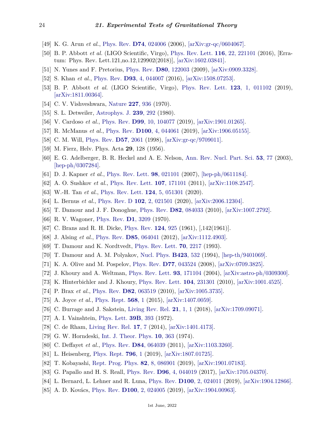- [49] K. G. Arun *et al.*, [Phys. Rev.](http://doi.org/10.1103/PhysRevD.74.024006) **D74**[, 024006](http://doi.org/10.1103/PhysRevD.74.024006) (2006), [\[arXiv:gr-qc/0604067\].](https://arxiv.org/abs/gr-qc/0604067)
- <span id="page-23-0"></span>[50] B. P. Abbott *et al.* (LIGO Scientific, Virgo), [Phys. Rev. Lett.](http://doi.org/10.1103/PhysRevLett.116.221101) **116**[, 22, 221101](http://doi.org/10.1103/PhysRevLett.116.221101) (2016), [Erratum: Phys. Rev. Lett.121,no.12,129902(2018)], [\[arXiv:1602.03841\].](https://arxiv.org/abs/1602.03841)
- <span id="page-23-1"></span>[51] N. Yunes and F. Pretorius, [Phys. Rev.](http://doi.org/10.1103/PhysRevD.80.122003) **D80**[, 122003](http://doi.org/10.1103/PhysRevD.80.122003) (2009), [\[arXiv:0909.3328\].](https://arxiv.org/abs/0909.3328)
- <span id="page-23-2"></span>[52] S. Khan *et al.*, [Phys. Rev.](http://doi.org/10.1103/PhysRevD.93.044007) **D93**[, 4, 044007](http://doi.org/10.1103/PhysRevD.93.044007) (2016), [\[arXiv:1508.07253\].](https://arxiv.org/abs/1508.07253)
- <span id="page-23-3"></span>[53] B. P. Abbott *et al.* (LIGO Scientific, Virgo), [Phys. Rev. Lett.](http://doi.org/10.1103/PhysRevLett.123.011102) **123**[, 1, 011102](http://doi.org/10.1103/PhysRevLett.123.011102) (2019), [\[arXiv:1811.00364\].](https://arxiv.org/abs/1811.00364)
- <span id="page-23-4"></span>[54] C. V. Vishveshwara, [Nature](http://doi.org/10.1038/227936a0) **227**[, 936](http://doi.org/10.1038/227936a0) (1970).
- <span id="page-23-5"></span>[55] S. L. Detweiler, [Astrophys. J.](http://doi.org/10.1086/158109) **239**[, 292](http://doi.org/10.1086/158109) (1980).
- <span id="page-23-6"></span>[56] V. Cardoso *et al.*, [Phys. Rev.](http://doi.org/10.1103/PhysRevD.99.104077) **D99**[, 10, 104077](http://doi.org/10.1103/PhysRevD.99.104077) (2019), [\[arXiv:1901.01265\].](https://arxiv.org/abs/1901.01265)
- <span id="page-23-7"></span>[57] R. McManus *et al.*, [Phys. Rev.](http://doi.org/10.1103/PhysRevD.100.044061) **D100**[, 4, 044061](http://doi.org/10.1103/PhysRevD.100.044061) (2019), [\[arXiv:1906.05155\].](https://arxiv.org/abs/1906.05155)
- <span id="page-23-8"></span>[58] C. M. Will, [Phys. Rev.](http://doi.org/10.1103/PhysRevD.57.2061) **D57**[, 2061](http://doi.org/10.1103/PhysRevD.57.2061) (1998), [\[arXiv:gr-qc/9709011\].](https://arxiv.org/abs/gr-qc/9709011)
- <span id="page-23-9"></span>[59] M. Fierz, Helv. Phys. Acta **29**, 128 (1956).
- <span id="page-23-10"></span>[60] E. G. Adelberger, B. R. Heckel and A. E. Nelson, [Ann. Rev. Nucl. Part. Sci.](http://doi.org/10.1146/annurev.nucl.53.041002.110503) **53**[, 77](http://doi.org/10.1146/annurev.nucl.53.041002.110503) (2003), [\[hep-ph/0307284\].](https://arxiv.org/abs/hep-ph/0307284)
- [61] D. J. Kapner *et al.*, [Phys. Rev. Lett.](http://doi.org/10.1103/PhysRevLett.98.021101) **98**[, 021101](http://doi.org/10.1103/PhysRevLett.98.021101) (2007), [\[hep-ph/0611184\].](https://arxiv.org/abs/hep-ph/0611184)
- [62] A. O. Sushkov *et al.*, [Phys. Rev. Lett.](http://doi.org/10.1103/PhysRevLett.107.171101) **107**[, 171101](http://doi.org/10.1103/PhysRevLett.107.171101) (2011), [\[arXiv:1108.2547\].](https://arxiv.org/abs/1108.2547)
- [63] W.-H. Tan *et al.*, [Phys. Rev. Lett.](http://doi.org/10.1103/PhysRevLett.124.051301) **124**[, 5, 051301](http://doi.org/10.1103/PhysRevLett.124.051301) (2020).
- <span id="page-23-11"></span>[64] L. Bernus *et al.*, [Phys. Rev. D](http://doi.org/10.1103/PhysRevD.102.021501) **102**[, 2, 021501](http://doi.org/10.1103/PhysRevD.102.021501) (2020), [\[arXiv:2006.12304\].](https://arxiv.org/abs/2006.12304)
- <span id="page-23-12"></span>[65] T. Damour and J. F. Donoghue, [Phys. Rev.](http://doi.org/10.1103/PhysRevD.82.084033) **D82**[, 084033](http://doi.org/10.1103/PhysRevD.82.084033) (2010), [\[arXiv:1007.2792\].](https://arxiv.org/abs/1007.2792)
- <span id="page-23-13"></span>[66] R. V. Wagoner, [Phys. Rev.](http://doi.org/10.1103/PhysRevD.1.3209) **D1**[, 3209](http://doi.org/10.1103/PhysRevD.1.3209) (1970).
- <span id="page-23-14"></span>[67] C. Brans and R. H. Dicke, [Phys. Rev.](http://doi.org/10.1103/PhysRev.124.925) **124**[, 925](http://doi.org/10.1103/PhysRev.124.925) (1961), [,142(1961)].
- <span id="page-23-15"></span>[68] J. Alsing *et al.*, [Phys. Rev.](http://doi.org/10.1103/PhysRevD.85.064041) **D85**[, 064041](http://doi.org/10.1103/PhysRevD.85.064041) (2012), [\[arXiv:1112.4903\].](https://arxiv.org/abs/1112.4903)
- <span id="page-23-16"></span>[69] T. Damour and K. Nordtvedt, [Phys. Rev. Lett.](http://doi.org/10.1103/PhysRevLett.70.2217) **70**[, 2217](http://doi.org/10.1103/PhysRevLett.70.2217) (1993).
- <span id="page-23-17"></span>[70] T. Damour and A. M. Polyakov, [Nucl. Phys.](http://doi.org/10.1016/0550-3213(94)90143-0) **[B423](http://doi.org/10.1016/0550-3213(94)90143-0)**, 532 (1994), [\[hep-th/9401069\].](https://arxiv.org/abs/hep-th/9401069)
- <span id="page-23-18"></span>[71] K. A. Olive and M. Pospelov, [Phys. Rev.](http://doi.org/10.1103/PhysRevD.77.043524) **D77**[, 043524](http://doi.org/10.1103/PhysRevD.77.043524) (2008), [\[arXiv:0709.3825\].](https://arxiv.org/abs/0709.3825)
- <span id="page-23-19"></span>[72] J. Khoury and A. Weltman, [Phys. Rev. Lett.](http://doi.org/10.1103/PhysRevLett.93.171104) **93**[, 171104](http://doi.org/10.1103/PhysRevLett.93.171104) (2004), [\[arXiv:astro-ph/0309300\].](https://arxiv.org/abs/astro-ph/0309300)
- [73] K. Hinterbichler and J. Khoury, [Phys. Rev. Lett.](http://doi.org/10.1103/PhysRevLett.104.231301) **104**[, 231301](http://doi.org/10.1103/PhysRevLett.104.231301) (2010), [\[arXiv:1001.4525\].](https://arxiv.org/abs/1001.4525)
- [74] P. Brax *et al.*, [Phys. Rev.](http://doi.org/10.1103/PhysRevD.82.063519) **D82**[, 063519](http://doi.org/10.1103/PhysRevD.82.063519) (2010), [\[arXiv:1005.3735\].](https://arxiv.org/abs/1005.3735)
- [75] A. Joyce *et al.*, [Phys. Rept.](http://doi.org/10.1016/j.physrep.2014.12.002) **[568](http://doi.org/10.1016/j.physrep.2014.12.002)**, 1 (2015), [\[arXiv:1407.0059\].](https://arxiv.org/abs/1407.0059)
- <span id="page-23-20"></span>[76] C. Burrage and J. Sakstein, [Living Rev. Rel.](http://doi.org/10.1007/s41114-018-0011-x) **21**[, 1, 1](http://doi.org/10.1007/s41114-018-0011-x) (2018), [\[arXiv:1709.09071\].](https://arxiv.org/abs/1709.09071)
- <span id="page-23-21"></span>[77] A. I. Vainshtein, [Phys. Lett.](http://doi.org/10.1016/0370-2693(72)90147-5) **39B**[, 393](http://doi.org/10.1016/0370-2693(72)90147-5) (1972).
- <span id="page-23-22"></span>[78] C. de Rham, [Living Rev. Rel.](http://doi.org/10.12942/lrr-2014-7) **[17](http://doi.org/10.12942/lrr-2014-7)**, 7 (2014), [\[arXiv:1401.4173\].](https://arxiv.org/abs/1401.4173)
- <span id="page-23-23"></span>[79] G. W. Horndeski, [Int. J. Theor. Phys.](http://doi.org/10.1007/BF01807638) **10**[, 363](http://doi.org/10.1007/BF01807638) (1974).
- <span id="page-23-24"></span>[80] C. Deffayet *et al.*, [Phys. Rev.](http://doi.org/10.1103/PhysRevD.84.064039) **D84**[, 064039](http://doi.org/10.1103/PhysRevD.84.064039) (2011), [\[arXiv:1103.3260\].](https://arxiv.org/abs/1103.3260)
- <span id="page-23-25"></span>[81] L. Heisenberg, [Phys. Rept.](http://doi.org/10.1016/j.physrep.2018.11.006) **[796](http://doi.org/10.1016/j.physrep.2018.11.006)**, 1 (2019), [\[arXiv:1807.01725\].](https://arxiv.org/abs/1807.01725)
- <span id="page-23-26"></span>[82] T. Kobayashi, [Rept. Prog. Phys.](http://doi.org/10.1088/1361-6633/ab2429) **82**[, 8, 086901](http://doi.org/10.1088/1361-6633/ab2429) (2019), [\[arXiv:1901.07183\].](https://arxiv.org/abs/1901.07183)
- <span id="page-23-27"></span>[83] G. Papallo and H. S. Reall, [Phys. Rev.](http://doi.org/10.1103/PhysRevD.96.044019) **D96**[, 4, 044019](http://doi.org/10.1103/PhysRevD.96.044019) (2017), [\[arXiv:1705.04370\].](https://arxiv.org/abs/1705.04370)
- [84] L. Bernard, L. Lehner and R. Luna, [Phys. Rev.](http://doi.org/10.1103/PhysRevD.100.024011) **D100**[, 2, 024011](http://doi.org/10.1103/PhysRevD.100.024011) (2019), [\[arXiv:1904.12866\].](https://arxiv.org/abs/1904.12866)
- <span id="page-23-28"></span>[85] A. D. Kovács, [Phys. Rev.](http://doi.org/10.1103/PhysRevD.100.024005) **D100**[, 2, 024005](http://doi.org/10.1103/PhysRevD.100.024005) (2019), [\[arXiv:1904.00963\].](https://arxiv.org/abs/1904.00963)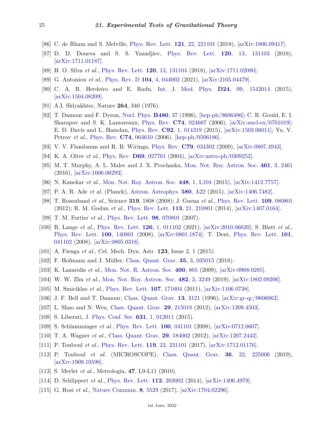- <span id="page-24-0"></span>[86] C. de Rham and S. Melville, [Phys. Rev. Lett.](http://doi.org/10.1103/PhysRevLett.121.221101) **121**[, 22, 221101](http://doi.org/10.1103/PhysRevLett.121.221101) (2018), [\[arXiv:1806.09417\].](https://arxiv.org/abs/1806.09417)
- <span id="page-24-1"></span>[87] D. D. Doneva and S. S. Yazadjiev, [Phys. Rev. Lett.](http://doi.org/10.1103/PhysRevLett.120.131103) **120**[, 13, 131103](http://doi.org/10.1103/PhysRevLett.120.131103) (2018), [\[arXiv:1711.01187\].](https://arxiv.org/abs/1711.01187)
- <span id="page-24-2"></span>[88] H. O. Silva *et al.*, [Phys. Rev. Lett.](http://doi.org/10.1103/PhysRevLett.120.131104) **120**[, 13, 131104](http://doi.org/10.1103/PhysRevLett.120.131104) (2018), [\[arXiv:1711.02080\].](https://arxiv.org/abs/1711.02080)
- [89] G. Antoniou *et al.*, [Phys. Rev. D](http://doi.org/10.1103/PhysRevD.104.044002) **104**[, 4, 044002](http://doi.org/10.1103/PhysRevD.104.044002) (2021), [\[arXiv:2105.04479\].](https://arxiv.org/abs/2105.04479)
- <span id="page-24-3"></span>[90] C. A. R. Herdeiro and E. Radu, [Int. J. Mod. Phys.](http://doi.org/10.1142/S0218271815420146) **D24**[, 09, 1542014](http://doi.org/10.1142/S0218271815420146) (2015), [\[arXiv:1504.08209\].](https://arxiv.org/abs/1504.08209)
- <span id="page-24-5"></span><span id="page-24-4"></span>[91] A.I. Shlyakhter, Nature **264**, 340 (1976).
- [92] T. Damour and F. Dyson, [Nucl. Phys.](http://doi.org/10.1016/S0550-3213(96)00467-1) **[B480](http://doi.org/10.1016/S0550-3213(96)00467-1)**, 37 (1996), [\[hep-ph/9606486\];](https://arxiv.org/abs/hep-ph/9606486) C. R. Gould, E. I. Sharapov and S. K. Lamoreaux, [Phys. Rev.](http://doi.org/10.1103/PhysRevC.74.024607) **C74**[, 024607](http://doi.org/10.1103/PhysRevC.74.024607) (2006), [\[arXiv:nucl-ex/0701019\];](https://arxiv.org/abs/nucl-ex/0701019) E. D. Davis and L. Hamdan, [Phys. Rev.](http://doi.org/10.1103/PhysRevC.92.014319) **C92**[, 1, 014319](http://doi.org/10.1103/PhysRevC.92.014319) (2015), [\[arXiv:1503.06011\];](https://arxiv.org/abs/1503.06011) Yu. V. Petrov *et al.*, [Phys. Rev.](http://doi.org/10.1103/PhysRevC.74.064610) **C74**[, 064610](http://doi.org/10.1103/PhysRevC.74.064610) (2006), [\[hep-ph/0506186\].](https://arxiv.org/abs/hep-ph/0506186)
- <span id="page-24-6"></span>[93] V. V. Flambaum and R. B. Wiringa, [Phys. Rev.](http://doi.org/10.1103/PhysRevC.79.034302) **C79**[, 034302](http://doi.org/10.1103/PhysRevC.79.034302) (2009), [\[arXiv:0807.4943\].](https://arxiv.org/abs/0807.4943)
- <span id="page-24-7"></span>[94] K. A. Olive *et al.*, [Phys. Rev.](http://doi.org/10.1103/PhysRevD.69.027701) **D69**[, 027701](http://doi.org/10.1103/PhysRevD.69.027701) (2004), [\[arXiv:astro-ph/0309252\].](https://arxiv.org/abs/astro-ph/0309252)
- <span id="page-24-8"></span>[95] M. T. Murphy, A. L. Malec and J. X. Prochaska, [Mon. Not. Roy. Astron. Soc.](http://doi.org/10.1093/mnras/stw1482) **461**[, 3, 2461](http://doi.org/10.1093/mnras/stw1482) (2016), [\[arXiv:1606.06293\].](https://arxiv.org/abs/1606.06293)
- <span id="page-24-9"></span>[96] N. Kanekar *et al.*, [Mon. Not. Roy. Astron. Soc.](http://doi.org/10.1093/mnrasl/slu206) **448**[, 1, L104](http://doi.org/10.1093/mnrasl/slu206) (2015), [\[arXiv:1412.7757\].](https://arxiv.org/abs/1412.7757)
- <span id="page-24-10"></span>[97] P. A. R. Ade *et al.* (Planck), [Astron. Astrophys.](http://doi.org/10.1051/0004-6361/201424496) **580**[, A22](http://doi.org/10.1051/0004-6361/201424496) (2015), [\[arXiv:1406.7482\].](https://arxiv.org/abs/1406.7482)
- <span id="page-24-11"></span>[98] T. Rosenband *et al.*, Science **319**, 1808 (2008); J. Guena *et al.*, [Phys. Rev. Lett.](http://doi.org/10.1103/PhysRevLett.109.080801) **109**[, 080801](http://doi.org/10.1103/PhysRevLett.109.080801) (2012); R. M. Godun *et al.*, [Phys. Rev. Lett.](http://doi.org/10.1103/PhysRevLett.113.210801) **113**[, 21, 210801](http://doi.org/10.1103/PhysRevLett.113.210801) (2014), [\[arXiv:1407.0164\].](https://arxiv.org/abs/1407.0164)
- [99] T. M. Fortier *et al.*, [Phys. Rev. Lett.](http://doi.org/10.1103/PhysRevLett.98.070801) **98**[, 070801](http://doi.org/10.1103/PhysRevLett.98.070801) (2007).
- <span id="page-24-12"></span>[100] R. Lange *et al.*, [Phys. Rev. Lett.](http://doi.org/10.1103/PhysRevLett.126.011102) **126**[, 1, 011102](http://doi.org/10.1103/PhysRevLett.126.011102) (2021), [\[arXiv:2010.06620\];](https://arxiv.org/abs/2010.06620) S. Blatt *et al.*, [Phys. Rev. Lett.](http://doi.org/10.1103/PhysRevLett.100.140801) **100**[, 140801](http://doi.org/10.1103/PhysRevLett.100.140801) (2008), [\[arXiv:0801.1874\];](https://arxiv.org/abs/0801.1874) T. Dent, [Phys. Rev. Lett.](http://doi.org/10.1103/PhysRevLett.101.041102) **[101](http://doi.org/10.1103/PhysRevLett.101.041102)**, [041102](http://doi.org/10.1103/PhysRevLett.101.041102) (2008), [\[arXiv:0805.0318\].](https://arxiv.org/abs/0805.0318)
- <span id="page-24-13"></span>[101] A. Fienga *et al.*, Cel. Mech. Dyn. Astr. **123**, Issue 2, 1 (2015).
- <span id="page-24-15"></span><span id="page-24-14"></span>[102] F. Hofmann and J. Müller, [Class. Quant. Grav.](http://doi.org/10.1088/1361-6382/aa8f7a) **35**[, 3, 035015](http://doi.org/10.1088/1361-6382/aa8f7a) (2018).
- <span id="page-24-16"></span>[103] K. Lazaridis *et al.*, [Mon. Not. R. Astron. Soc.](http://doi.org/10.1111/j.1365-2966.2009.15481.x) **400**[, 805](http://doi.org/10.1111/j.1365-2966.2009.15481.x) (2009), [\[arXiv:0908.0285\].](https://arxiv.org/abs/0908.0285)
- [104] W. W. Zhu *et al.*, [Mon. Not. Roy. Astron. Soc.](http://doi.org/10.1093/mnras/sty2905) **482**[, 3, 3249](http://doi.org/10.1093/mnras/sty2905) (2019), [\[arXiv:1802.09206\].](https://arxiv.org/abs/1802.09206)
- <span id="page-24-17"></span>[105] M. Smiciklas *et al.*, [Phys. Rev. Lett.](http://doi.org/10.1103/PhysRevLett.107.171604) **107**[, 171604](http://doi.org/10.1103/PhysRevLett.107.171604) (2011), [\[arXiv:1106.0738\].](https://arxiv.org/abs/1106.0738)
- <span id="page-24-18"></span>[106] J. F. Bell and T. Damour, [Class. Quant. Grav.](http://doi.org/10.1088/0264-9381/13/12/003) **13**[, 3121](http://doi.org/10.1088/0264-9381/13/12/003) (1996), [\[arXiv:gr-qc/9606062\].](https://arxiv.org/abs/gr-qc/9606062)
- <span id="page-24-19"></span>[107] L. Shao and N. Wex, [Class. Quant. Grav.](http://doi.org/10.1088/0264-9381/29/21/215018) **29**[, 215018](http://doi.org/10.1088/0264-9381/29/21/215018) (2012), [\[arXiv:1209.4503\].](https://arxiv.org/abs/1209.4503)
- <span id="page-24-20"></span>[108] S. Liberati, [J. Phys. Conf. Ser.](http://doi.org/10.1088/1742-6596/631/1/012011) **631**[, 1, 012011](http://doi.org/10.1088/1742-6596/631/1/012011) (2015).
- <span id="page-24-21"></span>[109] S. Schlamminger *et al.*, [Phys. Rev. Lett.](http://doi.org/10.1103/PhysRevLett.100.041101) **100**[, 041101](http://doi.org/10.1103/PhysRevLett.100.041101) (2008), [\[arXiv:0712.0607\].](https://arxiv.org/abs/0712.0607)
- <span id="page-24-22"></span>[110] T. A. Wagner *et al.*, [Class. Quant. Grav.](http://doi.org/10.1088/0264-9381/29/18/184002) **29**[, 184002](http://doi.org/10.1088/0264-9381/29/18/184002) (2012), [\[arXiv:1207.2442\].](https://arxiv.org/abs/1207.2442)
- <span id="page-24-23"></span>[111] P. Touboul *et al.*, [Phys. Rev. Lett.](http://doi.org/10.1103/PhysRevLett.119.231101) **119**[, 23, 231101](http://doi.org/10.1103/PhysRevLett.119.231101) (2017), [\[arXiv:1712.01176\].](https://arxiv.org/abs/1712.01176)
- <span id="page-24-24"></span>[112] P. Touboul *et al.* (MICROSCOPE), [Class. Quant. Grav.](http://doi.org/10.1088/1361-6382/ab4707) **36**[, 22, 225006](http://doi.org/10.1088/1361-6382/ab4707) (2019), [\[arXiv:1909.10598\].](https://arxiv.org/abs/1909.10598)
- <span id="page-24-26"></span><span id="page-24-25"></span>[113] S. Merlet *et al.*, Metrologia, **47**, L9-L11 (2010).
- <span id="page-24-27"></span>[114] D. Schlippert *et al.*, [Phys. Rev. Lett.](http://doi.org/10.1103/PhysRevLett.112.203002) **112**[, 203002](http://doi.org/10.1103/PhysRevLett.112.203002) (2014), [\[arXiv:1406.4979\].](https://arxiv.org/abs/1406.4979)
- [115] G. Rosi *et al.*, [Nature Commun.](http://doi.org/10.1038/ncomms15529) **8**[, 5529](http://doi.org/10.1038/ncomms15529) (2017), [\[arXiv:1704.02296\].](https://arxiv.org/abs/1704.02296)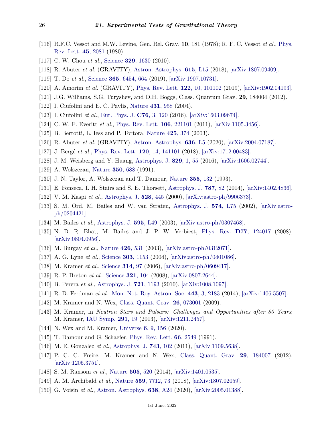- <span id="page-25-0"></span>[116] R.F.C. Vessot and M.W. Levine, Gen. Rel. Grav. **10**, 181 (1978); R. F. C. Vessot *et al.*, [Phys.](http://doi.org/10.1103/PhysRevLett.45.2081) [Rev. Lett.](http://doi.org/10.1103/PhysRevLett.45.2081) **45**[, 2081](http://doi.org/10.1103/PhysRevLett.45.2081) (1980).
- <span id="page-25-1"></span>[117] C. W. Chou *et al.*, [Science](http://doi.org/10.1126/science.1192720) **329**[, 1630](http://doi.org/10.1126/science.1192720) (2010).
- <span id="page-25-2"></span>[118] R. Abuter *et al.* (GRAVITY), [Astron. Astrophys.](http://doi.org/10.1051/0004-6361/201833718) **615**[, L15](http://doi.org/10.1051/0004-6361/201833718) (2018), [\[arXiv:1807.09409\].](https://arxiv.org/abs/1807.09409)
- <span id="page-25-3"></span>[119] T. Do *et al.*, [Science](http://doi.org/10.1126/science.aav8137) **365**[, 6454, 664](http://doi.org/10.1126/science.aav8137) (2019), [\[arXiv:1907.10731\].](https://arxiv.org/abs/1907.10731)
- <span id="page-25-4"></span>[120] A. Amorim *et al.* (GRAVITY), [Phys. Rev. Lett.](http://doi.org/10.1103/PhysRevLett.122.101102) **122**[, 10, 101102](http://doi.org/10.1103/PhysRevLett.122.101102) (2019), [\[arXiv:1902.04193\].](https://arxiv.org/abs/1902.04193)
- <span id="page-25-5"></span>[121] J.G. Williams, S.G. Turyshev, and D.H. Boggs, Class. Quantum Grav. **29**, 184004 (2012).
- <span id="page-25-6"></span>[122] I. Ciufolini and E. C. Pavlis, [Nature](http://doi.org/10.1038/nature03007) **431**[, 958](http://doi.org/10.1038/nature03007) (2004).
- <span id="page-25-7"></span>[123] I. Ciufolini *et al.*, [Eur. Phys. J.](http://doi.org/10.1140/epjc/s10052-016-3961-8) **C76**[, 3, 120](http://doi.org/10.1140/epjc/s10052-016-3961-8) (2016), [\[arXiv:1603.09674\].](https://arxiv.org/abs/1603.09674)
- <span id="page-25-8"></span>[124] C. W. F. Everitt *et al.*, [Phys. Rev. Lett.](http://doi.org/10.1103/PhysRevLett.106.221101) **106**[, 221101](http://doi.org/10.1103/PhysRevLett.106.221101) (2011), [\[arXiv:1105.3456\].](https://arxiv.org/abs/1105.3456)
- <span id="page-25-9"></span>[125] B. Bertotti, L. Iess and P. Tortora, [Nature](http://doi.org/10.1038/nature01997) **425**[, 374](http://doi.org/10.1038/nature01997) (2003).
- <span id="page-25-10"></span>[126] R. Abuter *et al.* (GRAVITY), [Astron. Astrophys.](http://doi.org/10.1051/0004-6361/202037813) **636**[, L5](http://doi.org/10.1051/0004-6361/202037813) (2020), [\[arXiv:2004.07187\].](https://arxiv.org/abs/2004.07187)
- <span id="page-25-11"></span>[127] J. Bergé *et al.*, [Phys. Rev. Lett.](http://doi.org/10.1103/PhysRevLett.120.141101) **120**[, 14, 141101](http://doi.org/10.1103/PhysRevLett.120.141101) (2018), [\[arXiv:1712.00483\].](https://arxiv.org/abs/1712.00483)
- <span id="page-25-12"></span>[128] J. M. Weisberg and Y. Huang, [Astrophys. J.](http://doi.org/10.3847/0004-637X/829/1/55) **829**[, 1, 55](http://doi.org/10.3847/0004-637X/829/1/55) (2016), [\[arXiv:1606.02744\].](https://arxiv.org/abs/1606.02744)
- <span id="page-25-13"></span>[129] A. Wolszczan, [Nature](http://doi.org/10.1038/350688a0) **350**[, 688](http://doi.org/10.1038/350688a0) (1991).
- <span id="page-25-20"></span>[130] J. N. Taylor, A. Wolszczan and T. Damour, [Nature](http://doi.org/10.1038/355132a0) **355**[, 132](http://doi.org/10.1038/355132a0) (1993).
- <span id="page-25-14"></span>[131] E. Fonseca, I. H. Stairs and S. E. Thorsett, [Astrophys. J.](http://doi.org/10.1088/0004-637X/787/1/82) **[787](http://doi.org/10.1088/0004-637X/787/1/82)**, 82 (2014), [\[arXiv:1402.4836\].](https://arxiv.org/abs/1402.4836)
- <span id="page-25-15"></span>[132] V. M. Kaspi *et al.*, [Astrophys. J.](http://doi.org/10.1086/308144) **528**[, 445](http://doi.org/10.1086/308144) (2000), [\[arXiv:astro-ph/9906373\].](https://arxiv.org/abs/astro-ph/9906373)
- [133] S. M. Ord, M. Bailes and W. van Straten, [Astrophys. J.](http://doi.org/10.1086/342218) **574**[, L75](http://doi.org/10.1086/342218) (2002), [\[arXiv:astro](https://arxiv.org/abs/astro-ph/0204421)[ph/0204421\].](https://arxiv.org/abs/astro-ph/0204421)
- [134] M. Bailes *et al.*, [Astrophys. J.](http://doi.org/10.1086/378939) **595**[, L49](http://doi.org/10.1086/378939) (2003), [\[arXiv:astro-ph/0307468\].](https://arxiv.org/abs/astro-ph/0307468)
- <span id="page-25-16"></span>[135] N. D. R. Bhat, M. Bailes and J. P. W. Verbiest, [Phys. Rev.](http://doi.org/10.1103/PhysRevD.77.124017) **D77**[, 124017](http://doi.org/10.1103/PhysRevD.77.124017) (2008), [\[arXiv:0804.0956\].](https://arxiv.org/abs/0804.0956)
- <span id="page-25-17"></span>[136] M. Burgay *et al.*, [Nature](http://doi.org/10.1038/nature02124) **426**[, 531](http://doi.org/10.1038/nature02124) (2003), [\[arXiv:astro-ph/0312071\].](https://arxiv.org/abs/astro-ph/0312071)
- <span id="page-25-21"></span>[137] A. G. Lyne *et al.*, [Science](http://doi.org/10.1126/science.1094645) **303**[, 1153](http://doi.org/10.1126/science.1094645) (2004), [\[arXiv:astro-ph/0401086\].](https://arxiv.org/abs/astro-ph/0401086)
- <span id="page-25-22"></span>[138] M. Kramer *et al.*, [Science](http://doi.org/10.1126/science.1132305) **[314](http://doi.org/10.1126/science.1132305)**, 97 (2006), [\[arXiv:astro-ph/0609417\].](https://arxiv.org/abs/astro-ph/0609417)
- <span id="page-25-23"></span>[139] R. P. Breton *et al.*, [Science](http://doi.org/10.1126/science.1159295) **321**[, 104](http://doi.org/10.1126/science.1159295) (2008), [\[arXiv:0807.2644\].](https://arxiv.org/abs/0807.2644)
- <span id="page-25-18"></span>[140] B. Perera *et al.*, [Astrophys. J.](http://doi.org/10.1088/0004-637X/721/2/1193) **721**[, 1193](http://doi.org/10.1088/0004-637X/721/2/1193) (2010), [\[arXiv:1008.1097\].](https://arxiv.org/abs/1008.1097)
- <span id="page-25-19"></span>[141] R. D. Ferdman *et al.*, [Mon. Not. Roy. Astron. Soc.](http://doi.org/10.1093/mnras/stu1223) **443**[, 3, 2183](http://doi.org/10.1093/mnras/stu1223) (2014), [\[arXiv:1406.5507\].](https://arxiv.org/abs/1406.5507)
- <span id="page-25-24"></span>[142] M. Kramer and N. Wex, [Class. Quant. Grav.](http://doi.org/10.1088/0264-9381/26/7/073001) **26**[, 073001](http://doi.org/10.1088/0264-9381/26/7/073001) (2009).
- <span id="page-25-25"></span>[143] M. Kramer, in *Neutron Stars and Pulsars: Challenges and Opportunities after 80 Years*; M. Kramer, [IAU Symp.](http://doi.org/10.1017/S174392131202306X) **[291](http://doi.org/10.1017/S174392131202306X)**, 19 (2013), [\[arXiv:1211.2457\].](https://arxiv.org/abs/1211.2457)
- <span id="page-25-26"></span>[144] N. Wex and M. Kramer, [Universe](http://doi.org/10.3390/universe6090156) **6**[, 9, 156](http://doi.org/10.3390/universe6090156) (2020).
- <span id="page-25-27"></span>[145] T. Damour and G. Schaefer, [Phys. Rev. Lett.](http://doi.org/10.1103/PhysRevLett.66.2549) **66**[, 2549](http://doi.org/10.1103/PhysRevLett.66.2549) (1991).
- [146] M. E. Gonzalez *et al.*, [Astrophys. J.](http://doi.org/10.1088/0004-637X/743/2/102) **743**[, 102](http://doi.org/10.1088/0004-637X/743/2/102) (2011), [\[arXiv:1109.5638\].](https://arxiv.org/abs/1109.5638)
- <span id="page-25-28"></span>[147] P. C. C. Freire, M. Kramer and N. Wex, [Class. Quant. Grav.](http://doi.org/10.1088/0264-9381/29/18/184007) **29**[, 184007](http://doi.org/10.1088/0264-9381/29/18/184007) (2012), [\[arXiv:1205.3751\].](https://arxiv.org/abs/1205.3751)
- <span id="page-25-29"></span>[148] S. M. Ransom *et al.*, [Nature](http://doi.org/10.1038/nature12917) **505**[, 520](http://doi.org/10.1038/nature12917) (2014), [\[arXiv:1401.0535\].](https://arxiv.org/abs/1401.0535)
- <span id="page-25-30"></span>[149] A. M. Archibald *et al.*, [Nature](http://doi.org/10.1038/s41586-018-0265-1) **559**[, 7712, 73](http://doi.org/10.1038/s41586-018-0265-1) (2018), [\[arXiv:1807.02059\].](https://arxiv.org/abs/1807.02059)
- <span id="page-25-31"></span>[150] G. Voisin *et al.*, [Astron. Astrophys.](http://doi.org/10.1051/0004-6361/202038104) **638**[, A24](http://doi.org/10.1051/0004-6361/202038104) (2020), [\[arXiv:2005.01388\].](https://arxiv.org/abs/2005.01388)